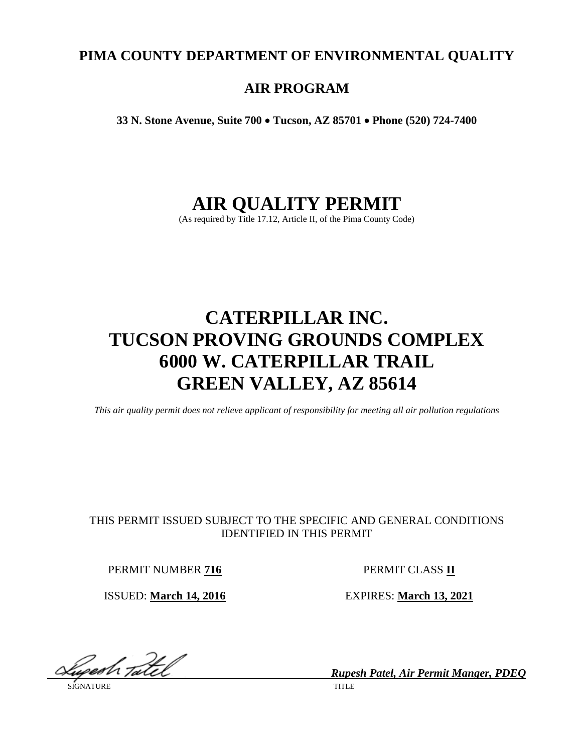# **PIMA COUNTY DEPARTMENT OF ENVIRONMENTAL QUALITY**

# **AIR PROGRAM**

**33 N. Stone Avenue, Suite 700** • **Tucson, AZ 85701** • **Phone (520) 724-7400**

# **AIR QUALITY PERMIT**

(As required by Title 17.12, Article II, of the Pima County Code)

# **CATERPILLAR INC. TUCSON PROVING GROUNDS COMPLEX 6000 W. CATERPILLAR TRAIL GREEN VALLEY, AZ 85614**

*This air quality permit does not relieve applicant of responsibility for meeting all air pollution regulations*

# THIS PERMIT ISSUED SUBJECT TO THE SPECIFIC AND GENERAL CONDITIONS IDENTIFIED IN THIS PERMIT

PERMIT NUMBER 716 PERMIT CLASS II

ISSUED: **March 14, 2016** EXPIRES: **March 13, 2021**

yesh <sub>Ta</sub>itel

SIGNATURE TITLE THE SERVICE OF THE SERVICE OF THE SERVICE OF THE SERVICE OF THE SERVICE OF THE SERVICE OF THE SERVICE OF THE SERVICE OF THE SERVICE OF THE SERVICE OF THE SERVICE OF THE SERVICE OF THE SERVICE OF THE SERVICE

*Rupesh Patel, Air Permit Manger, PDEQ*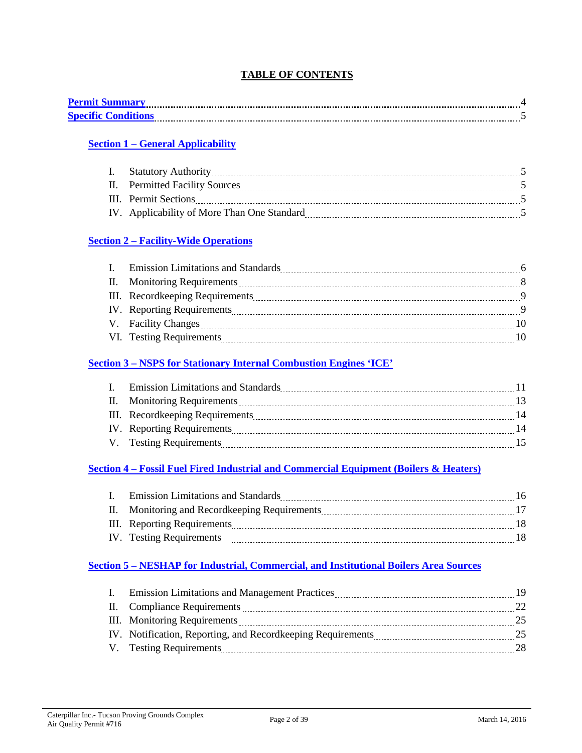# **TABLE OF CONTENTS**

| <b>Permit Summary</b>     |  |
|---------------------------|--|
| <b>Specific Condition</b> |  |

# **Section 1 – [General Applicability](#page-4-0)**

| II. Permitted Facility Sources              |  |
|---------------------------------------------|--|
| III. Permit Sections                        |  |
| IV. Applicability of More Than One Standard |  |

# **Section 2 – [Facility-Wide Operations](#page-5-0)**

| $\mathbf{I}$ . | <b>Emission Limitations and Standards</b> |                |
|----------------|-------------------------------------------|----------------|
|                | II. Monitoring Requirements               | - 8            |
|                |                                           | $\overline{9}$ |
|                | IV. Reporting Requirements                | -9             |
|                |                                           | 10             |
|                | VI. Testing Requirements                  |                |

# **Section 3 – [NSPS for Stationary Internal Combustion Engines 'ICE'](#page-10-0)**

| I. Emission Limitations and Standards |    |
|---------------------------------------|----|
| II. Monitoring Requirements           |    |
| III. Record keeping Requirements      | 14 |
| IV. Reporting Requirements            | 14 |
| V. Testing Requirements               |    |

# **Section 4 – [Fossil Fuel Fired Industrial and Commercial Equipment \(Boilers & Heaters\)](#page-15-0)**

| I. Emission Limitations and Standards         | 16. |
|-----------------------------------------------|-----|
| II. Monitoring and Recordkeeping Requirements |     |
| III. Reporting Requirements                   |     |
| IV. Testing Requirements                      |     |

# **Section 5 – [NESHAP for Industrial, Commercial, and Institutional Boilers Area Sources](#page-18-0)**

| I. Emission Limitations and Management Practices <b>Example 2016</b> 2016 | 19 |
|---------------------------------------------------------------------------|----|
| II. Compliance Requirements                                               | 22 |
|                                                                           | 25 |
|                                                                           | 25 |
|                                                                           | 28 |
|                                                                           |    |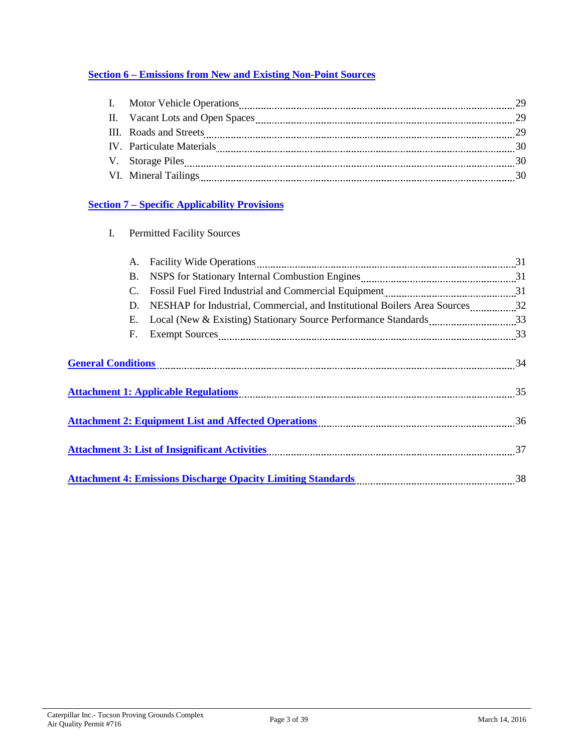# **Section 6 – [Emissions from New and Existing Non-Point Sources](#page-27-0)**

| III. Roads and Streets    |     |
|---------------------------|-----|
| IV. Particulate Materials |     |
| V. Storage Piles          |     |
| VI. Mineral Tailings      | -30 |

# **Section 7 – [Specific Applicability Provisions](#page-29-0)**

| I. | <b>Permitted Facility Sources</b> |  |
|----|-----------------------------------|--|
|----|-----------------------------------|--|

|                           | А.        | Facility Wide Operations 21 and 21 and 21 and 21 and 21 and 22 and 23 and 24 and 25 and 25 and 25 and 25 and 25 and 25 and 25 and 25 and 25 and 25 and 25 and 25 and 25 and 25 and 25 and 25 and 25 and 25 and 25 and 25 and 2 |    |
|---------------------------|-----------|--------------------------------------------------------------------------------------------------------------------------------------------------------------------------------------------------------------------------------|----|
|                           | <b>B.</b> |                                                                                                                                                                                                                                |    |
|                           | C.        | Fossil Fuel Fired Industrial and Commercial Equipment [111] [121] Fossil Fuel Fired Industrial and Commercial Equipment                                                                                                        |    |
|                           | D.        | NESHAP for Industrial, Commercial, and Institutional Boilers Area Sources32                                                                                                                                                    |    |
|                           | E.        | Local (New & Existing) Stationary Source Performance Standards 33                                                                                                                                                              |    |
|                           | F.        |                                                                                                                                                                                                                                |    |
| <b>General Conditions</b> |           | Attachment 1: Applicable Regulations [11] 15 Attachment 1: Applicable Regulations [11] 15                                                                                                                                      |    |
|                           |           |                                                                                                                                                                                                                                |    |
|                           |           | Attachment 3: List of Insignificant Activities [11] Attachment 3: List of Insignificant Activities [11] Attachment 37                                                                                                          |    |
|                           |           | <b>Attachment 4: Emissions Discharge Opacity Limiting Standards</b>                                                                                                                                                            | 38 |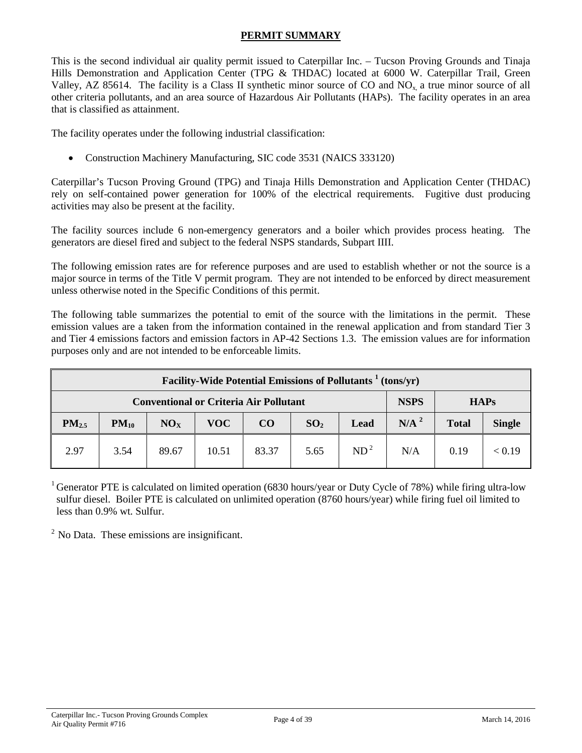### **PERMIT SUMMARY**

<span id="page-3-0"></span>This is the second individual air quality permit issued to Caterpillar Inc. – Tucson Proving Grounds and Tinaja Hills Demonstration and Application Center (TPG & THDAC) located at 6000 W. Caterpillar Trail, Green Valley, AZ 85614. The facility is a Class II synthetic minor source of CO and NOx, a true minor source of all other criteria pollutants, and an area source of Hazardous Air Pollutants (HAPs). The facility operates in an area that is classified as attainment.

The facility operates under the following industrial classification:

• Construction Machinery Manufacturing, SIC code 3531 (NAICS 333120)

Caterpillar's Tucson Proving Ground (TPG) and Tinaja Hills Demonstration and Application Center (THDAC) rely on self-contained power generation for 100% of the electrical requirements. Fugitive dust producing activities may also be present at the facility.

The facility sources include 6 non-emergency generators and a boiler which provides process heating. The generators are diesel fired and subject to the federal NSPS standards, Subpart IIII.

The following emission rates are for reference purposes and are used to establish whether or not the source is a major source in terms of the Title V permit program. They are not intended to be enforced by direct measurement unless otherwise noted in the Specific Conditions of this permit.

The following table summarizes the potential to emit of the source with the limitations in the permit. These emission values are a taken from the information contained in the renewal application and from standard Tier 3 and Tier 4 emissions factors and emission factors in AP-42 Sections 1.3. The emission values are for information purposes only and are not intended to be enforceable limits.

|                   | Facility-Wide Potential Emissions of Pollutants <sup>1</sup> (tons/yr) |                 |       |          |                 |                 |                  |              |               |
|-------------------|------------------------------------------------------------------------|-----------------|-------|----------|-----------------|-----------------|------------------|--------------|---------------|
|                   | <b>Conventional or Criteria Air Pollutant</b>                          |                 |       |          |                 |                 | <b>NSPS</b>      |              | <b>HAPs</b>   |
| PM <sub>2.5</sub> | $PM_{10}$                                                              | NO <sub>x</sub> | VOC-  | $\bf CO$ | SO <sub>2</sub> | Lead            | N/A <sup>2</sup> | <b>Total</b> | <b>Single</b> |
| 2.97              | 3.54                                                                   | 89.67           | 10.51 | 83.37    | 5.65            | ND <sup>2</sup> | N/A              | 0.19         | < 0.19        |

<sup>1</sup> Generator PTE is calculated on limited operation (6830 hours/year or Duty Cycle of 78%) while firing ultra-low sulfur diesel. Boiler PTE is calculated on unlimited operation (8760 hours/year) while firing fuel oil limited to less than 0.9% wt. Sulfur.

 $<sup>2</sup>$  No Data. These emissions are insignificant.</sup>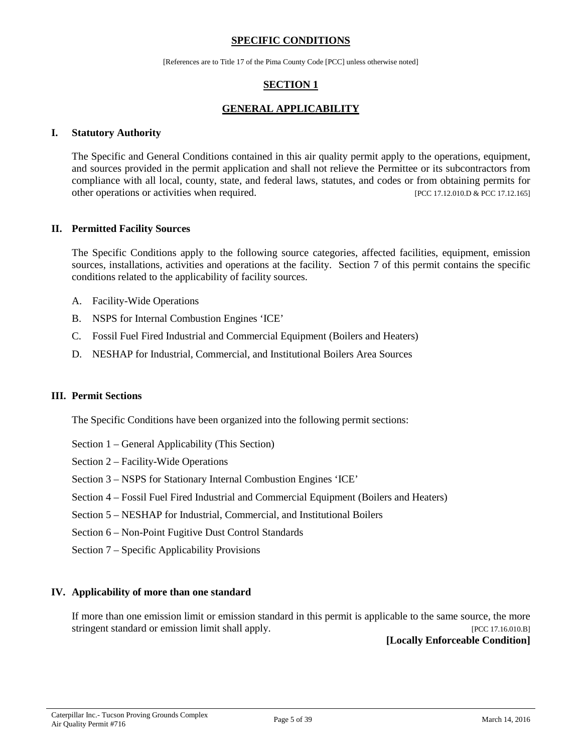#### **SPECIFIC CONDITIONS**

[References are to Title 17 of the Pima County Code [PCC] unless otherwise noted]

# **SECTION 1**

### **GENERAL APPLICABILITY**

#### <span id="page-4-0"></span>**I. Statutory Authority**

The Specific and General Conditions contained in this air quality permit apply to the operations, equipment, and sources provided in the permit application and shall not relieve the Permittee or its subcontractors from compliance with all local, county, state, and federal laws, statutes, and codes or from obtaining permits for other operations or activities when required. [PCC 17.12.010.D & PCC 17.12.165]

#### **II. Permitted Facility Sources**

The Specific Conditions apply to the following source categories, affected facilities, equipment, emission sources, installations, activities and operations at the facility. Section 7 of this permit contains the specific conditions related to the applicability of facility sources.

- A. Facility-Wide Operations
- B. NSPS for Internal Combustion Engines 'ICE'
- C. Fossil Fuel Fired Industrial and Commercial Equipment (Boilers and Heaters)
- D. NESHAP for Industrial, Commercial, and Institutional Boilers Area Sources

#### **III. Permit Sections**

The Specific Conditions have been organized into the following permit sections:

- Section 1 General Applicability (This Section)
- Section 2 Facility-Wide Operations
- Section 3 NSPS for Stationary Internal Combustion Engines 'ICE'
- Section 4 Fossil Fuel Fired Industrial and Commercial Equipment (Boilers and Heaters)
- Section 5 NESHAP for Industrial, Commercial, and Institutional Boilers
- Section 6 Non-Point Fugitive Dust Control Standards
- Section 7 Specific Applicability Provisions

#### **IV. Applicability of more than one standard**

If more than one emission limit or emission standard in this permit is applicable to the same source, the more stringent standard or emission limit shall apply. [PCC 17.16.010.B]

**[Locally Enforceable Condition]**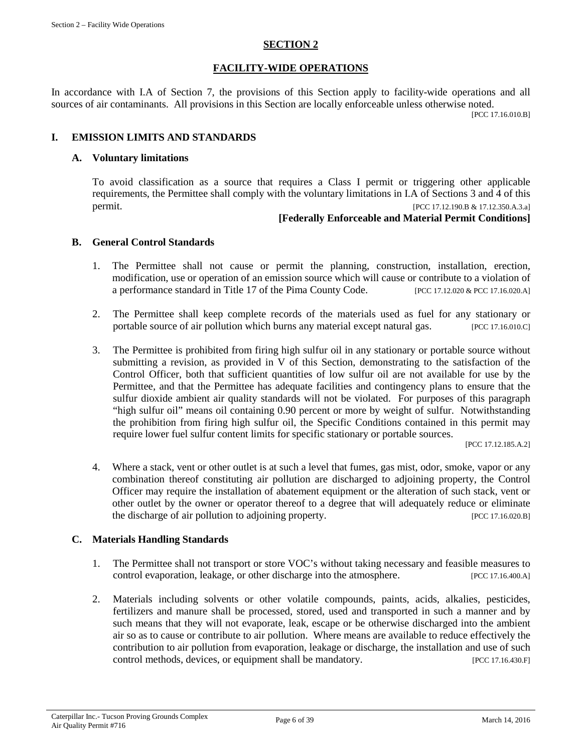#### **SECTION 2**

#### **FACILITY-WIDE OPERATIONS**

<span id="page-5-0"></span>In accordance with I.A of Section 7, the provisions of this Section apply to facility-wide operations and all sources of air contaminants. All provisions in this Section are locally enforceable unless otherwise noted.

[PCC 17.16.010.B]

#### **I. EMISSION LIMITS AND STANDARDS**

#### **A. Voluntary limitations**

To avoid classification as a source that requires a Class I permit or triggering other applicable requirements, the Permittee shall comply with the voluntary limitations in I.A of Sections 3 and 4 of this permit. [PCC 17.12.190.B & 17.12.350.A.3.a]

#### **[Federally Enforceable and Material Permit Conditions]**

#### **B. General Control Standards**

- 1. The Permittee shall not cause or permit the planning, construction, installation, erection, modification, use or operation of an emission source which will cause or contribute to a violation of a performance standard in Title 17 of the Pima County Code. [PCC 17.12.020 & PCC 17.16.020.A]
- 2. The Permittee shall keep complete records of the materials used as fuel for any stationary or portable source of air pollution which burns any material except natural gas. [PCC 17.16.010.C]
- 3. The Permittee is prohibited from firing high sulfur oil in any stationary or portable source without submitting a revision, as provided in V of this Section, demonstrating to the satisfaction of the Control Officer, both that sufficient quantities of low sulfur oil are not available for use by the Permittee, and that the Permittee has adequate facilities and contingency plans to ensure that the sulfur dioxide ambient air quality standards will not be violated. For purposes of this paragraph "high sulfur oil" means oil containing 0.90 percent or more by weight of sulfur. Notwithstanding the prohibition from firing high sulfur oil, the Specific Conditions contained in this permit may require lower fuel sulfur content limits for specific stationary or portable sources.

[PCC 17.12.185.A.2]

4. Where a stack, vent or other outlet is at such a level that fumes, gas mist, odor, smoke, vapor or any combination thereof constituting air pollution are discharged to adjoining property, the Control Officer may require the installation of abatement equipment or the alteration of such stack, vent or other outlet by the owner or operator thereof to a degree that will adequately reduce or eliminate the discharge of air pollution to adjoining property. [PCC 17.16.020.B]

#### **C. Materials Handling Standards**

- 1. The Permittee shall not transport or store VOC's without taking necessary and feasible measures to control evaporation, leakage, or other discharge into the atmosphere. [PCC 17.16.400.A]
- 2. Materials including solvents or other volatile compounds, paints, acids, alkalies, pesticides, fertilizers and manure shall be processed, stored, used and transported in such a manner and by such means that they will not evaporate, leak, escape or be otherwise discharged into the ambient air so as to cause or contribute to air pollution. Where means are available to reduce effectively the contribution to air pollution from evaporation, leakage or discharge, the installation and use of such control methods, devices, or equipment shall be mandatory. [PCC 17.16.430.F]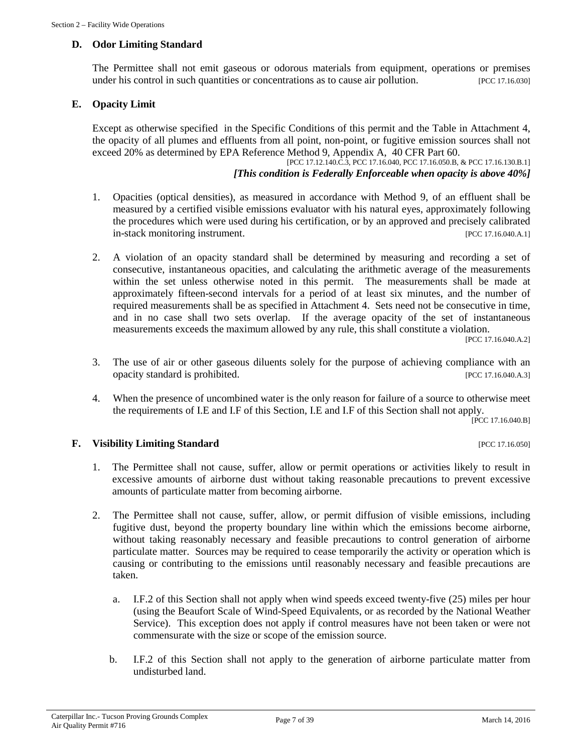#### **D. Odor Limiting Standard**

The Permittee shall not emit gaseous or odorous materials from equipment, operations or premises under his control in such quantities or concentrations as to cause air pollution. [PCC 17.16.030]

#### **E. Opacity Limit**

Except as otherwise specified in the Specific Conditions of this permit and the Table in Attachment 4, the opacity of all plumes and effluents from all point, non-point, or fugitive emission sources shall not exceed 20% as determined by EPA Reference Method 9, Appendix A, 40 CFR Part 60.

[PCC 17.12.140.C.3, PCC 17.16.040, PCC 17.16.050.B, & PCC 17.16.130.B.1] *[This condition is Federally Enforceable when opacity is above 40%]*

- 1. Opacities (optical densities), as measured in accordance with Method 9, of an effluent shall be measured by a certified visible emissions evaluator with his natural eyes, approximately following the procedures which were used during his certification, or by an approved and precisely calibrated in-stack monitoring instrument. [PCC 17.16.040.A.1]
- 2. A violation of an opacity standard shall be determined by measuring and recording a set of consecutive, instantaneous opacities, and calculating the arithmetic average of the measurements within the set unless otherwise noted in this permit. The measurements shall be made at approximately fifteen-second intervals for a period of at least six minutes, and the number of required measurements shall be as specified in Attachment 4. Sets need not be consecutive in time, and in no case shall two sets overlap. If the average opacity of the set of instantaneous measurements exceeds the maximum allowed by any rule, this shall constitute a violation.

[PCC 17.16.040.A.2]

- 3. The use of air or other gaseous diluents solely for the purpose of achieving compliance with an opacity standard is prohibited. [PCC 17.16.040.A.3]
- 4. When the presence of uncombined water is the only reason for failure of a source to otherwise meet the requirements of I.E and I.F of this Section, I.E and I.F of this Section shall not apply.

[PCC 17.16.040.B]

#### **F. Visibility Limiting Standard** [PCC 17.16.050]

- 1. The Permittee shall not cause, suffer, allow or permit operations or activities likely to result in excessive amounts of airborne dust without taking reasonable precautions to prevent excessive amounts of particulate matter from becoming airborne.
- 2. The Permittee shall not cause, suffer, allow, or permit diffusion of visible emissions, including fugitive dust, beyond the property boundary line within which the emissions become airborne, without taking reasonably necessary and feasible precautions to control generation of airborne particulate matter. Sources may be required to cease temporarily the activity or operation which is causing or contributing to the emissions until reasonably necessary and feasible precautions are taken.
	- a. I.F.2 of this Section shall not apply when wind speeds exceed twenty-five (25) miles per hour (using the Beaufort Scale of Wind-Speed Equivalents, or as recorded by the National Weather Service). This exception does not apply if control measures have not been taken or were not commensurate with the size or scope of the emission source.
	- b. I.F.2 of this Section shall not apply to the generation of airborne particulate matter from undisturbed land.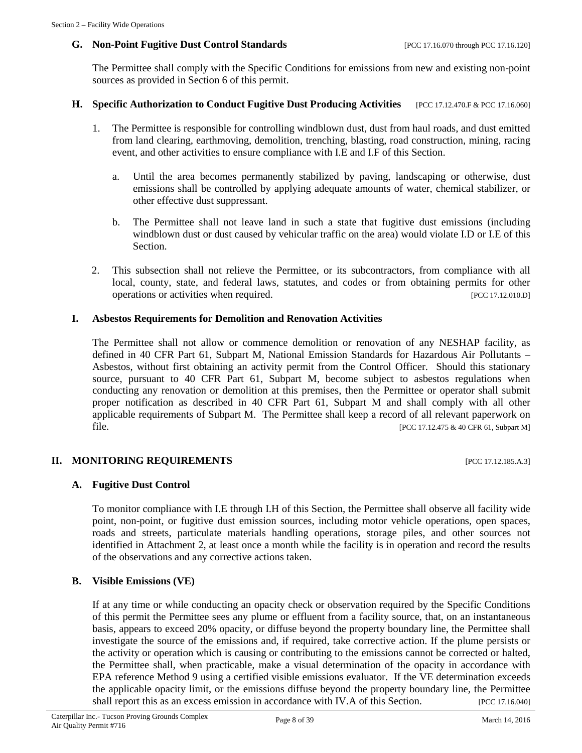#### **G. Non-Point Fugitive Dust Control Standards** [PCC 17.16.070 through PCC 17.16.120]

The Permittee shall comply with the Specific Conditions for emissions from new and existing non-point sources as provided in Section 6 of this permit.

#### **H. Specific Authorization to Conduct Fugitive Dust Producing Activities** [PCC 17.12.470.F & PCC 17.16.060]

- 1. The Permittee is responsible for controlling windblown dust, dust from haul roads, and dust emitted from land clearing, earthmoving, demolition, trenching, blasting, road construction, mining, racing event, and other activities to ensure compliance with I.E and I.F of this Section.
	- a. Until the area becomes permanently stabilized by paving, landscaping or otherwise, dust emissions shall be controlled by applying adequate amounts of water, chemical stabilizer, or other effective dust suppressant.
	- b. The Permittee shall not leave land in such a state that fugitive dust emissions (including windblown dust or dust caused by vehicular traffic on the area) would violate I.D or I.E of this Section.
- 2. This subsection shall not relieve the Permittee, or its subcontractors, from compliance with all local, county, state, and federal laws, statutes, and codes or from obtaining permits for other operations or activities when required. [PCC 17.12.010.D]

#### **I. Asbestos Requirements for Demolition and Renovation Activities**

The Permittee shall not allow or commence demolition or renovation of any NESHAP facility, as defined in 40 CFR Part 61, Subpart M, National Emission Standards for Hazardous Air Pollutants – Asbestos, without first obtaining an activity permit from the Control Officer. Should this stationary source, pursuant to 40 CFR Part 61, Subpart M, become subject to asbestos regulations when conducting any renovation or demolition at this premises, then the Permittee or operator shall submit proper notification as described in 40 CFR Part 61, Subpart M and shall comply with all other applicable requirements of Subpart M. The Permittee shall keep a record of all relevant paperwork on file. [PCC 17.12.475 & 40 CFR 61, Subpart M]

#### **II. MONITORING REQUIREMENTS** [PCC 17.12.185.A.3]

#### **A. Fugitive Dust Control**

To monitor compliance with I.E through I.H of this Section, the Permittee shall observe all facility wide point, non-point, or fugitive dust emission sources, including motor vehicle operations, open spaces, roads and streets, particulate materials handling operations, storage piles, and other sources not identified in Attachment 2, at least once a month while the facility is in operation and record the results of the observations and any corrective actions taken.

#### **B. Visible Emissions (VE)**

If at any time or while conducting an opacity check or observation required by the Specific Conditions of this permit the Permittee sees any plume or effluent from a facility source, that, on an instantaneous basis, appears to exceed 20% opacity, or diffuse beyond the property boundary line, the Permittee shall investigate the source of the emissions and, if required, take corrective action. If the plume persists or the activity or operation which is causing or contributing to the emissions cannot be corrected or halted, the Permittee shall, when practicable, make a visual determination of the opacity in accordance with EPA reference Method 9 using a certified visible emissions evaluator. If the VE determination exceeds the applicable opacity limit, or the emissions diffuse beyond the property boundary line, the Permittee shall report this as an excess emission in accordance with IV.A of this Section. [PCC 17.16.040]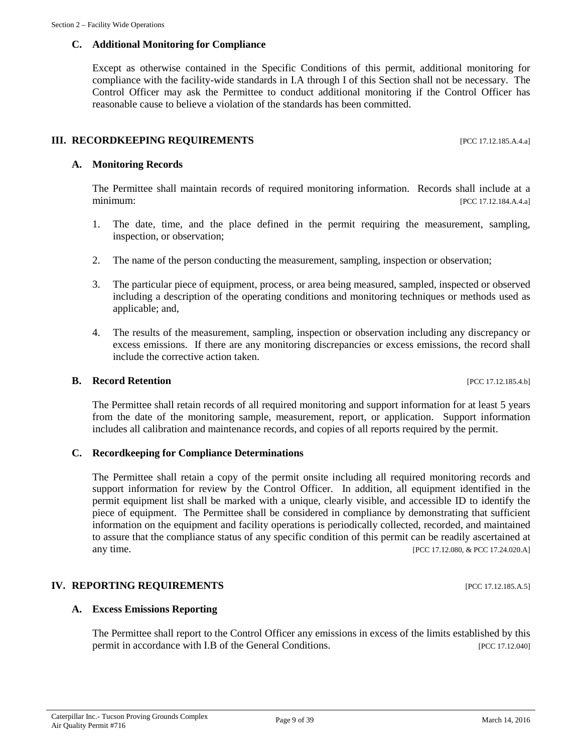# **C. Additional Monitoring for Compliance**

Except as otherwise contained in the Specific Conditions of this permit, additional monitoring for compliance with the facility-wide standards in I.A through I of this Section shall not be necessary. The Control Officer may ask the Permittee to conduct additional monitoring if the Control Officer has reasonable cause to believe a violation of the standards has been committed.

# **III. RECORDKEEPING REQUIREMENTS** [PCC 17.12.185.A.4.a]

# **A. Monitoring Records**

The Permittee shall maintain records of required monitoring information. Records shall include at a minimum: [PCC 17.12.184.A.4.a]

- 1. The date, time, and the place defined in the permit requiring the measurement, sampling, inspection, or observation;
- 2. The name of the person conducting the measurement, sampling, inspection or observation;
- 3. The particular piece of equipment, process, or area being measured, sampled, inspected or observed including a description of the operating conditions and monitoring techniques or methods used as applicable; and,
- 4. The results of the measurement, sampling, inspection or observation including any discrepancy or excess emissions. If there are any monitoring discrepancies or excess emissions, the record shall include the corrective action taken.

#### **B. Record Retention** [PCC 17.12.185.4.b]

The Permittee shall retain records of all required monitoring and support information for at least 5 years from the date of the monitoring sample, measurement, report, or application. Support information includes all calibration and maintenance records, and copies of all reports required by the permit.

# **C. Recordkeeping for Compliance Determinations**

The Permittee shall retain a copy of the permit onsite including all required monitoring records and support information for review by the Control Officer. In addition, all equipment identified in the permit equipment list shall be marked with a unique, clearly visible, and accessible ID to identify the piece of equipment. The Permittee shall be considered in compliance by demonstrating that sufficient information on the equipment and facility operations is periodically collected, recorded, and maintained to assure that the compliance status of any specific condition of this permit can be readily ascertained at any time. [PCC 17.12.080, & PCC 17.24.020.A]

# **IV. REPORTING REQUIREMENTS** [PCC 17.12.185.A.5]

# **A. Excess Emissions Reporting**

The Permittee shall report to the Control Officer any emissions in excess of the limits established by this permit in accordance with I.B of the General Conditions. [PCC 17.12.040]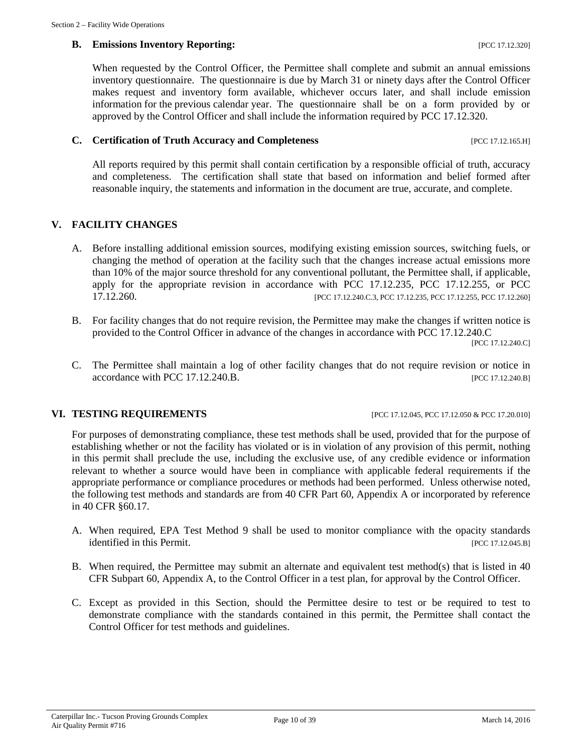#### **B. Emissions Inventory Reporting:**  $[PC C 17.12.320]$

When requested by the Control Officer, the Permittee shall complete and submit an annual emissions inventory questionnaire. The questionnaire is due by March 31 or ninety days after the Control Officer makes request and inventory form available, whichever occurs later, and shall include emission information for the previous calendar year. The questionnaire shall be on a form provided by or approved by the Control Officer and shall include the information required by PCC 17.12.320.

#### **C. Certification of Truth Accuracy and Completeness** [PCC 17.12.165.H]

All reports required by this permit shall contain certification by a responsible official of truth, accuracy and completeness. The certification shall state that based on information and belief formed after reasonable inquiry, the statements and information in the document are true, accurate, and complete.

#### **V. FACILITY CHANGES**

- A. Before installing additional emission sources, modifying existing emission sources, switching fuels, or changing the method of operation at the facility such that the changes increase actual emissions more than 10% of the major source threshold for any conventional pollutant, the Permittee shall, if applicable, apply for the appropriate revision in accordance with PCC 17.12.235, PCC 17.12.255, or PCC [PCC 17.12.240.C.3, PCC 17.12.235, PCC 17.12.255, PCC 17.12.260]
- B. For facility changes that do not require revision, the Permittee may make the changes if written notice is provided to the Control Officer in advance of the changes in accordance with PCC 17.12.240.C [PCC 17.12.240.C]
- C. The Permittee shall maintain a log of other facility changes that do not require revision or notice in accordance with PCC 17.12.240.B. [PCC 17.12.240.B]

#### **VI. TESTING REQUIREMENTS** [PCC 17.12.045, PCC 17.12.050 & PCC 17.20.010]

For purposes of demonstrating compliance, these test methods shall be used, provided that for the purpose of establishing whether or not the facility has violated or is in violation of any provision of this permit, nothing in this permit shall preclude the use, including the exclusive use, of any credible evidence or information relevant to whether a source would have been in compliance with applicable federal requirements if the appropriate performance or compliance procedures or methods had been performed. Unless otherwise noted, the following test methods and standards are from 40 CFR Part 60, Appendix A or incorporated by reference in 40 CFR §60.17.

- A. When required, EPA Test Method 9 shall be used to monitor compliance with the opacity standards identified in this Permit. [PCC 17.12.045.B]
- B. When required, the Permittee may submit an alternate and equivalent test method(s) that is listed in 40 CFR Subpart 60, Appendix A, to the Control Officer in a test plan, for approval by the Control Officer.
- C. Except as provided in this Section, should the Permittee desire to test or be required to test to demonstrate compliance with the standards contained in this permit, the Permittee shall contact the Control Officer for test methods and guidelines.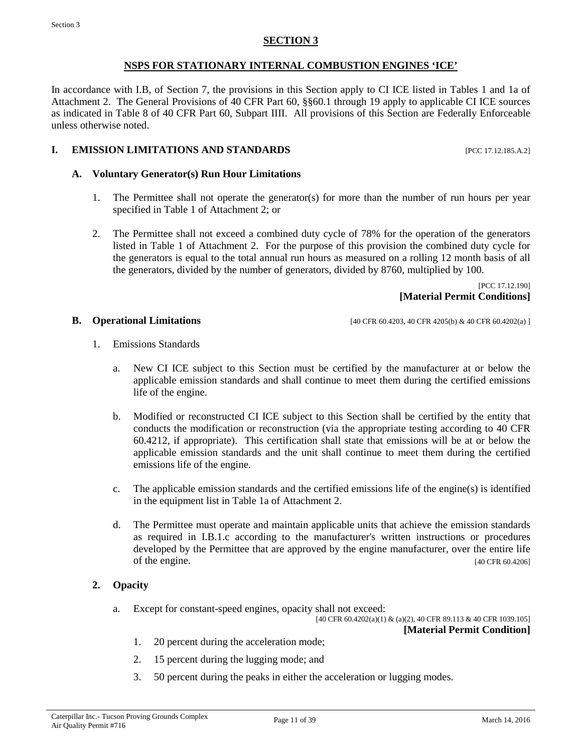### **SECTION 3**

### **NSPS FOR STATIONARY INTERNAL COMBUSTION ENGINES 'ICE'**

<span id="page-10-0"></span>In accordance with I.B, of Section 7, the provisions in this Section apply to CI ICE listed in Tables 1 and 1a of Attachment 2. The General Provisions of 40 CFR Part 60, §§60.1 through 19 apply to applicable CI ICE sources as indicated in Table 8 of 40 CFR Part 60, Subpart IIII. All provisions of this Section are Federally Enforceable unless otherwise noted.

### **I. EMISSION LIMITATIONS AND STANDARDS** [PCC 17.12.185.A.2]

#### **A. Voluntary Generator(s) Run Hour Limitations**

- 1. The Permittee shall not operate the generator(s) for more than the number of run hours per year specified in Table 1 of Attachment 2; or
- 2. The Permittee shall not exceed a combined duty cycle of 78% for the operation of the generators listed in Table 1 of Attachment 2. For the purpose of this provision the combined duty cycle for the generators is equal to the total annual run hours as measured on a rolling 12 month basis of all the generators, divided by the number of generators, divided by 8760, multiplied by 100.

[PCC 17.12.190] **[Material Permit Conditions]**

**B. Operational Limitations** [40 CFR 60.4203, 40 CFR 4205(b) & 40 CFR 60.4202(a) ]

- 1. Emissions Standards
	- a. New CI ICE subject to this Section must be certified by the manufacturer at or below the applicable emission standards and shall continue to meet them during the certified emissions life of the engine.
	- b. Modified or reconstructed CI ICE subject to this Section shall be certified by the entity that conducts the modification or reconstruction (via the appropriate testing according to 40 CFR 60.4212, if appropriate). This certification shall state that emissions will be at or below the applicable emission standards and the unit shall continue to meet them during the certified emissions life of the engine.
	- c. The applicable emission standards and the certified emissions life of the engine(s) is identified in the equipment list in Table 1a of Attachment 2.
	- d. The Permittee must operate and maintain applicable units that achieve the emission standards as required in I.B.1.c according to the manufacturer's written instructions or procedures developed by the Permittee that are approved by the engine manufacturer, over the entire life of the engine. [40 CFR 60.4206]

#### **2. Opacity**

a. Except for constant-speed engines, opacity shall not exceed:

[40 CFR 60.4202(a)(1) & (a)(2), 40 CFR 89.113 & 40 CFR 1039.105] **[Material Permit Condition]**

- 1. 20 percent during the acceleration mode;
- 2. 15 percent during the lugging mode; and
- 3. 50 percent during the peaks in either the acceleration or lugging modes.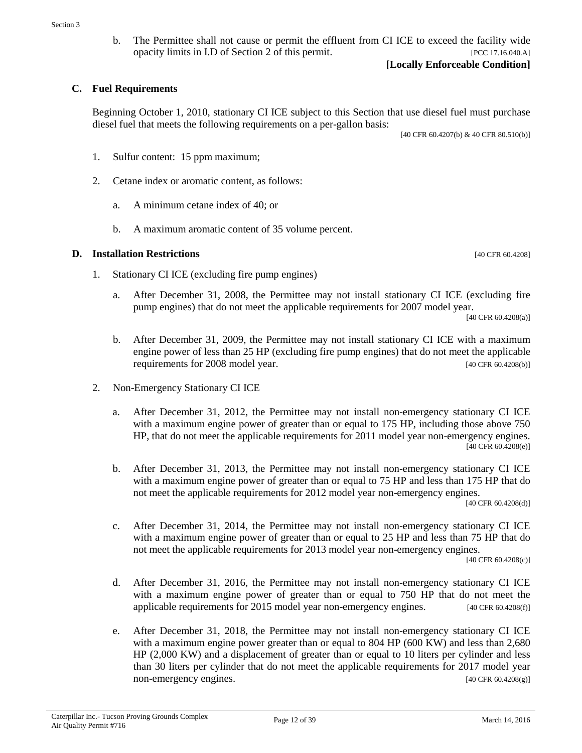b. The Permittee shall not cause or permit the effluent from CI ICE to exceed the facility wide opacity limits in I.D of Section 2 of this permit. [PCC 17.16.040.A]

#### **C. Fuel Requirements**

Beginning October 1, 2010, stationary CI ICE subject to this Section that use diesel fuel must purchase diesel fuel that meets the following requirements on a per-gallon basis:

[40 CFR 60.4207(b) & 40 CFR 80.510(b)]

- 1. Sulfur content: 15 ppm maximum;
- 2. Cetane index or aromatic content, as follows:
	- a. A minimum cetane index of 40; or
	- b. A maximum aromatic content of 35 volume percent.

#### **D.** Installation Restrictions [40 CFR 60.4208]

- 1. Stationary CI ICE (excluding fire pump engines)
	- a. After December 31, 2008, the Permittee may not install stationary CI ICE (excluding fire pump engines) that do not meet the applicable requirements for 2007 model year.

[40 CFR 60.4208(a)]

- b. After December 31, 2009, the Permittee may not install stationary CI ICE with a maximum engine power of less than 25 HP (excluding fire pump engines) that do not meet the applicable requirements for 2008 model year. [40 CFR 60.4208(b)]
- 2. Non-Emergency Stationary CI ICE
	- a. After December 31, 2012, the Permittee may not install non-emergency stationary CI ICE with a maximum engine power of greater than or equal to 175 HP, including those above 750 HP, that do not meet the applicable requirements for 2011 model year non-emergency engines. [40 CFR 60.4208(e)]
	- b. After December 31, 2013, the Permittee may not install non-emergency stationary CI ICE with a maximum engine power of greater than or equal to 75 HP and less than 175 HP that do not meet the applicable requirements for 2012 model year non-emergency engines.

[40 CFR 60.4208(d)]

c. After December 31, 2014, the Permittee may not install non-emergency stationary CI ICE with a maximum engine power of greater than or equal to 25 HP and less than 75 HP that do not meet the applicable requirements for 2013 model year non-emergency engines.

[40 CFR 60.4208(c)]

- d. After December 31, 2016, the Permittee may not install non-emergency stationary CI ICE with a maximum engine power of greater than or equal to 750 HP that do not meet the applicable requirements for 2015 model year non-emergency engines. [40 CFR 60.4208(f)]
- e. After December 31, 2018, the Permittee may not install non-emergency stationary CI ICE with a maximum engine power greater than or equal to 804 HP (600 KW) and less than 2,680 HP (2,000 KW) and a displacement of greater than or equal to 10 liters per cylinder and less than 30 liters per cylinder that do not meet the applicable requirements for 2017 model year non-emergency engines. [40 CFR 60.4208(g)]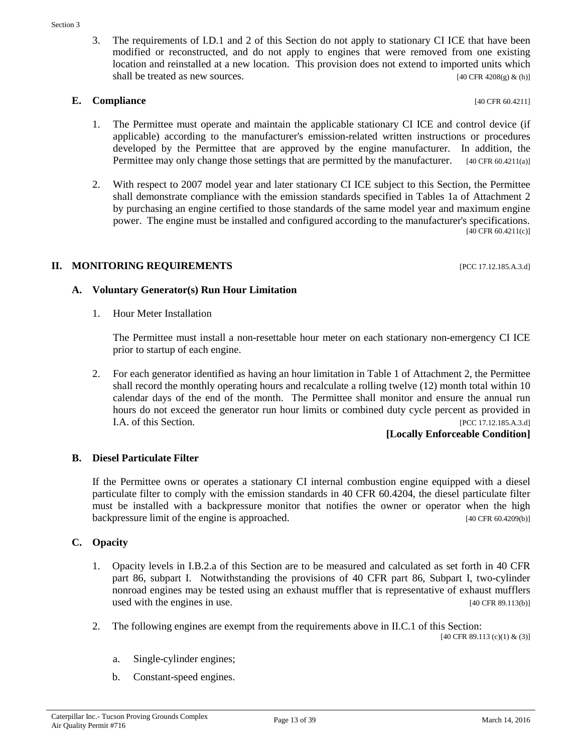3. The requirements of I.D.1 and 2 of this Section do not apply to stationary CI ICE that have been modified or reconstructed, and do not apply to engines that were removed from one existing location and reinstalled at a new location. This provision does not extend to imported units which shall be treated as new sources.  $[40 \text{ CFR } 4208(g) \& (h)]$ 

### **E. Compliance** [40 CFR 60.4211]

- 1. The Permittee must operate and maintain the applicable stationary CI ICE and control device (if applicable) according to the manufacturer's emission-related written instructions or procedures developed by the Permittee that are approved by the engine manufacturer. In addition, the Permittee may only change those settings that are permitted by the manufacturer. [40 CFR 60.4211(a)]
- 2. With respect to 2007 model year and later stationary CI ICE subject to this Section, the Permittee shall demonstrate compliance with the emission standards specified in Tables 1a of Attachment 2 by purchasing an engine certified to those standards of the same model year and maximum engine power. The engine must be installed and configured according to the manufacturer's specifications. [40 CFR 60.4211(c)]

# **II. MONITORING REQUIREMENTS** [PCC 17.12.185.A.3.d]

# **A. Voluntary Generator(s) Run Hour Limitation**

1. Hour Meter Installation

The Permittee must install a non-resettable hour meter on each stationary non-emergency CI ICE prior to startup of each engine.

2. For each generator identified as having an hour limitation in Table 1 of Attachment 2, the Permittee shall record the monthly operating hours and recalculate a rolling twelve (12) month total within 10 calendar days of the end of the month. The Permittee shall monitor and ensure the annual run hours do not exceed the generator run hour limits or combined duty cycle percent as provided in I.A. of this Section. [PCC 17.12.185.A.3.d]

# **[Locally Enforceable Condition]**

# **B. Diesel Particulate Filter**

If the Permittee owns or operates a stationary CI internal combustion engine equipped with a diesel particulate filter to comply with the emission standards in 40 CFR 60.4204, the diesel particulate filter must be installed with a backpressure monitor that notifies the owner or operator when the high backpressure limit of the engine is approached. [40 CFR 60.4209(b)]

# **C. Opacity**

- 1. Opacity levels in I.B.2.a of this Section are to be measured and calculated as set forth in 40 CFR part 86, subpart I. Notwithstanding the provisions of 40 CFR part 86, Subpart I, two-cylinder nonroad engines may be tested using an exhaust muffler that is representative of exhaust mufflers used with the engines in use.  $[40 \text{ CFR } 89.113 \text{ (b)}]$
- 2. The following engines are exempt from the requirements above in II.C.1 of this Section:

[40 CFR 89.113 (c)(1) & (3)]

- a. Single-cylinder engines;
- b. Constant-speed engines.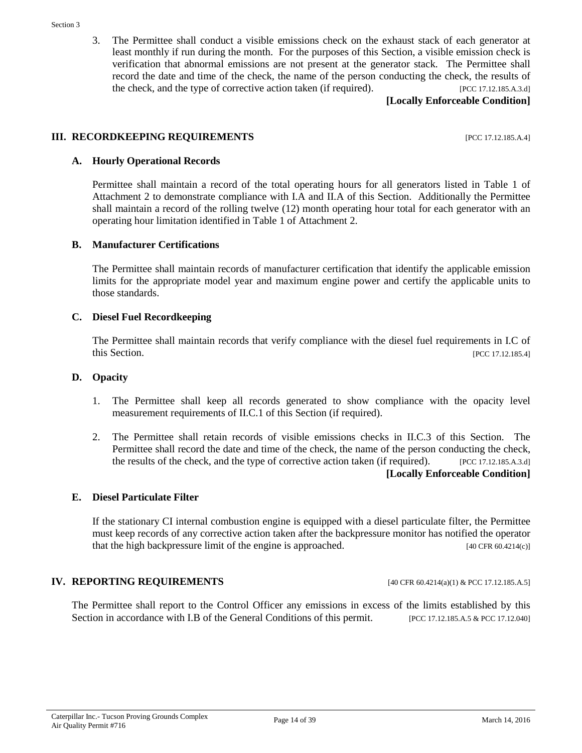3. The Permittee shall conduct a visible emissions check on the exhaust stack of each generator at least monthly if run during the month. For the purposes of this Section, a visible emission check is verification that abnormal emissions are not present at the generator stack. The Permittee shall record the date and time of the check, the name of the person conducting the check, the results of the check, and the type of corrective action taken (if required). [PCC 17.12.185.A.3.d]

**[Locally Enforceable Condition]**

#### **III. RECORDKEEPING REQUIREMENTS** [PCC 17.12.185.A.4]

#### **A. Hourly Operational Records**

Permittee shall maintain a record of the total operating hours for all generators listed in Table 1 of Attachment 2 to demonstrate compliance with I.A and II.A of this Section. Additionally the Permittee shall maintain a record of the rolling twelve (12) month operating hour total for each generator with an operating hour limitation identified in Table 1 of Attachment 2.

#### **B. Manufacturer Certifications**

The Permittee shall maintain records of manufacturer certification that identify the applicable emission limits for the appropriate model year and maximum engine power and certify the applicable units to those standards.

#### **C. Diesel Fuel Recordkeeping**

The Permittee shall maintain records that verify compliance with the diesel fuel requirements in I.C of this Section. [PCC 17.12.185.4]

#### **D. Opacity**

- 1. The Permittee shall keep all records generated to show compliance with the opacity level measurement requirements of II.C.1 of this Section (if required).
- 2. The Permittee shall retain records of visible emissions checks in II.C.3 of this Section. The Permittee shall record the date and time of the check, the name of the person conducting the check, the results of the check, and the type of corrective action taken (if required). [PCC 17.12.185.A.3.d] **[Locally Enforceable Condition]**

#### **E. Diesel Particulate Filter**

If the stationary CI internal combustion engine is equipped with a diesel particulate filter, the Permittee must keep records of any corrective action taken after the backpressure monitor has notified the operator that the high backpressure limit of the engine is approached. [40 CFR 60.4214(c)]

#### **IV. REPORTING REQUIREMENTS** [40 CFR 60.4214(a)(1) & PCC 17.12.185.A.5]

The Permittee shall report to the Control Officer any emissions in excess of the limits established by this Section in accordance with I.B of the General Conditions of this permit. [PCC 17.12.185.A.5 & PCC 17.12.040]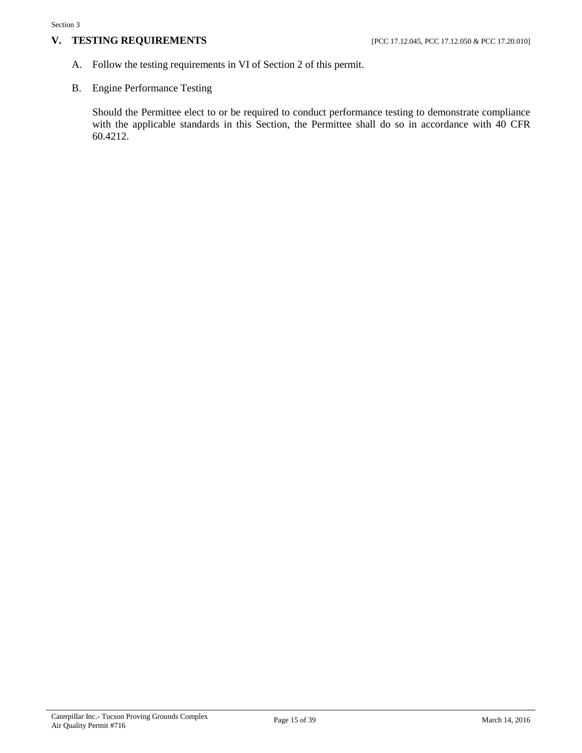#### **V. TESTING REQUIREMENTS** [PCC 17.12.045, PCC 17.12.050 & PCC 17.20.010]

- A. Follow the testing requirements in VI of Section 2 of this permit.
- B. Engine Performance Testing

Should the Permittee elect to or be required to conduct performance testing to demonstrate compliance with the applicable standards in this Section, the Permittee shall do so in accordance with 40 CFR 60.4212.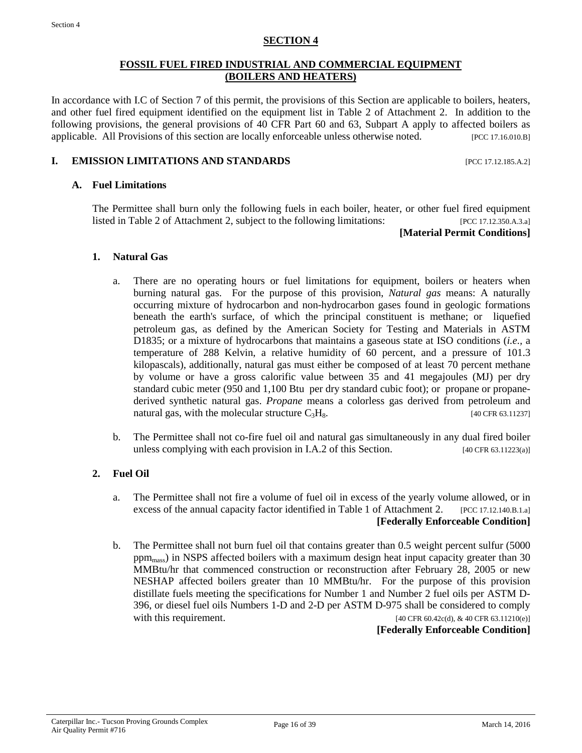#### **SECTION 4**

#### **FOSSIL FUEL FIRED INDUSTRIAL AND COMMERCIAL EQUIPMENT (BOILERS AND HEATERS)**

<span id="page-15-0"></span>In accordance with I.C of Section 7 of this permit, the provisions of this Section are applicable to boilers, heaters, and other fuel fired equipment identified on the equipment list in Table 2 of Attachment 2. In addition to the following provisions, the general provisions of 40 CFR Part 60 and 63, Subpart A apply to affected boilers as applicable. All Provisions of this section are locally enforceable unless otherwise noted. [PCC 17.16.010.B]

#### **I. EMISSION LIMITATIONS AND STANDARDS** [PCC 17.12.185.A.2]

#### **A. Fuel Limitations**

The Permittee shall burn only the following fuels in each boiler, heater, or other fuel fired equipment listed in Table 2 of Attachment 2, subject to the following limitations: [PCC 17.12.350.A.3.a]

#### **[Material Permit Conditions]**

#### **1. Natural Gas**

- a. There are no operating hours or fuel limitations for equipment, boilers or heaters when burning natural gas. For the purpose of this provision, *Natural gas* means: A naturally occurring mixture of hydrocarbon and non-hydrocarbon gases found in geologic formations beneath the earth's surface, of which the principal constituent is methane; or liquefied petroleum gas, as defined by the American Society for Testing and Materials in ASTM D1835; or a mixture of hydrocarbons that maintains a gaseous state at ISO conditions (*i.e.,* a temperature of 288 Kelvin, a relative humidity of 60 percent, and a pressure of 101.3 kilopascals), additionally, natural gas must either be composed of at least 70 percent methane by volume or have a gross calorific value between 35 and 41 megajoules (MJ) per dry standard cubic meter (950 and 1,100 Btu per dry standard cubic foot); or propane or propanederived synthetic natural gas. *Propane* means a colorless gas derived from petroleum and natural gas, with the molecular structure  $C_3H_8$ . [40 CFR 63.11237]
- b. The Permittee shall not co-fire fuel oil and natural gas simultaneously in any dual fired boiler unless complying with each provision in I.A.2 of this Section. [40 CFR 63.11223(a)]

#### **2. Fuel Oil**

- a. The Permittee shall not fire a volume of fuel oil in excess of the yearly volume allowed, or in excess of the annual capacity factor identified in Table 1 of Attachment 2. [PCC 17.12.140.B.1.a] **[Federally Enforceable Condition]**
- b. The Permittee shall not burn fuel oil that contains greater than 0.5 weight percent sulfur (5000 ppm<sub>mass</sub>) in NSPS affected boilers with a maximum design heat input capacity greater than 30 MMBtu/hr that commenced construction or reconstruction after February 28, 2005 or new NESHAP affected boilers greater than 10 MMBtu/hr. For the purpose of this provision distillate fuels meeting the specifications for Number 1 and Number 2 fuel oils per ASTM D-396, or diesel fuel oils Numbers 1-D and 2-D per ASTM D-975 shall be considered to comply with this requirement.  $[40 \text{ CFR } 60.42c(d), \& 40 \text{ CFR } 63.11210(e)]$

**[Federally Enforceable Condition]**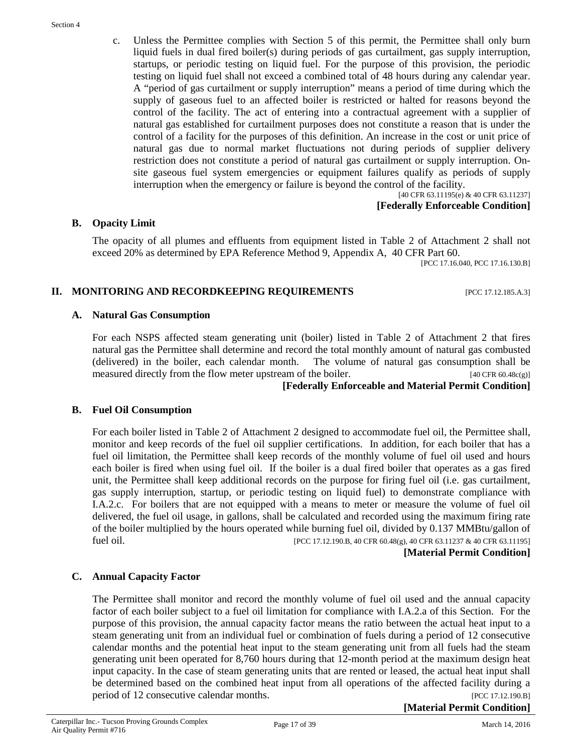c. Unless the Permittee complies with Section 5 of this permit, the Permittee shall only burn liquid fuels in dual fired boiler(s) during periods of gas curtailment, gas supply interruption, startups, or periodic testing on liquid fuel. For the purpose of this provision, the periodic testing on liquid fuel shall not exceed a combined total of 48 hours during any calendar year. A "period of gas curtailment or supply interruption" means a period of time during which the supply of gaseous fuel to an affected boiler is restricted or halted for reasons beyond the control of the facility. The act of entering into a contractual agreement with a supplier of natural gas established for curtailment purposes does not constitute a reason that is under the control of a facility for the purposes of this definition. An increase in the cost or unit price of natural gas due to normal market fluctuations not during periods of supplier delivery restriction does not constitute a period of natural gas curtailment or supply interruption. Onsite gaseous fuel system emergencies or equipment failures qualify as periods of supply interruption when the emergency or failure is beyond the control of the facility.

[40 CFR 63.11195(e) & 40 CFR 63.11237] **[Federally Enforceable Condition]**

#### **B. Opacity Limit**

The opacity of all plumes and effluents from equipment listed in Table 2 of Attachment 2 shall not exceed 20% as determined by EPA Reference Method 9, Appendix A, 40 CFR Part 60.

[PCC 17.16.040, PCC 17.16.130.B]

#### **II. MONITORING AND RECORDKEEPING REQUIREMENTS** [PCC 17.12.185.A.3]

#### **A. Natural Gas Consumption**

For each NSPS affected steam generating unit (boiler) listed in Table 2 of Attachment 2 that fires natural gas the Permittee shall determine and record the total monthly amount of natural gas combusted (delivered) in the boiler, each calendar month. The volume of natural gas consumption shall be measured directly from the flow meter upstream of the boiler. [40 CFR 60.48c(g)]

## **[Federally Enforceable and Material Permit Condition]**

#### **B. Fuel Oil Consumption**

For each boiler listed in Table 2 of Attachment 2 designed to accommodate fuel oil, the Permittee shall, monitor and keep records of the fuel oil supplier certifications. In addition, for each boiler that has a fuel oil limitation, the Permittee shall keep records of the monthly volume of fuel oil used and hours each boiler is fired when using fuel oil. If the boiler is a dual fired boiler that operates as a gas fired unit, the Permittee shall keep additional records on the purpose for firing fuel oil (i.e. gas curtailment, gas supply interruption, startup, or periodic testing on liquid fuel) to demonstrate compliance with I.A.2.c. For boilers that are not equipped with a means to meter or measure the volume of fuel oil delivered, the fuel oil usage, in gallons, shall be calculated and recorded using the maximum firing rate of the boiler multiplied by the hours operated while burning fuel oil, divided by 0.137 MMBtu/gallon of fuel oil. [PCC 17.12.190.B, 40 CFR 60.48(g), 40 CFR 63.11237 & 40 CFR 63.11195]

#### **[Material Permit Condition]**

#### **C. Annual Capacity Factor**

The Permittee shall monitor and record the monthly volume of fuel oil used and the annual capacity factor of each boiler subject to a fuel oil limitation for compliance with I.A.2.a of this Section. For the purpose of this provision, the annual capacity factor means the ratio between the actual heat input to a steam generating unit from an individual fuel or combination of fuels during a period of 12 consecutive calendar months and the potential heat input to the steam generating unit from all fuels had the steam generating unit been operated for 8,760 hours during that 12-month period at the maximum design heat input capacity. In the case of steam generating units that are rented or leased, the actual heat input shall be determined based on the combined heat input from all operations of the affected facility during a period of 12 consecutive calendar months. [PCC 17.12.190.B]

**[Material Permit Condition]**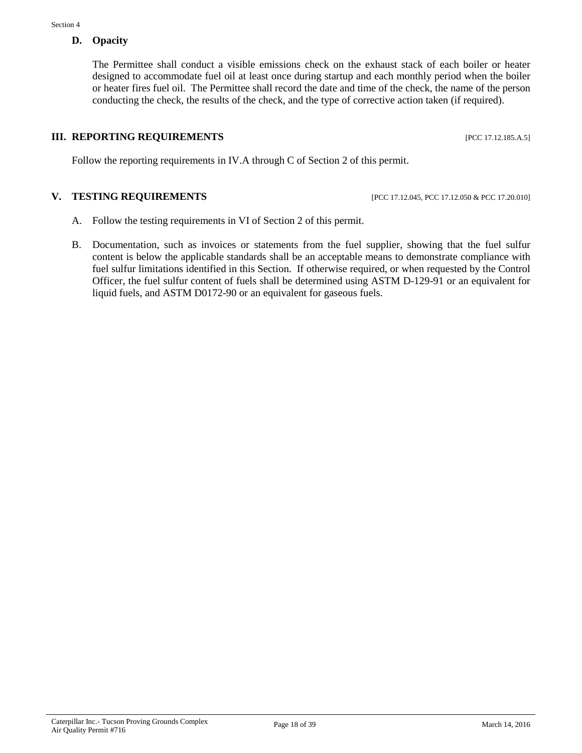### **D. Opacity**

The Permittee shall conduct a visible emissions check on the exhaust stack of each boiler or heater designed to accommodate fuel oil at least once during startup and each monthly period when the boiler or heater fires fuel oil. The Permittee shall record the date and time of the check, the name of the person conducting the check, the results of the check, and the type of corrective action taken (if required).

# **III. REPORTING REQUIREMENTS** [PCC 17.12.185.A.5]

Follow the reporting requirements in IV.A through C of Section 2 of this permit.

#### **V. TESTING REQUIREMENTS** [PCC 17.12.045, PCC 17.12.050 & PCC 17.20.010]

- A. Follow the testing requirements in VI of Section 2 of this permit.
- B. Documentation, such as invoices or statements from the fuel supplier, showing that the fuel sulfur content is below the applicable standards shall be an acceptable means to demonstrate compliance with fuel sulfur limitations identified in this Section. If otherwise required, or when requested by the Control Officer, the fuel sulfur content of fuels shall be determined using ASTM D-129-91 or an equivalent for liquid fuels, and ASTM D0172-90 or an equivalent for gaseous fuels.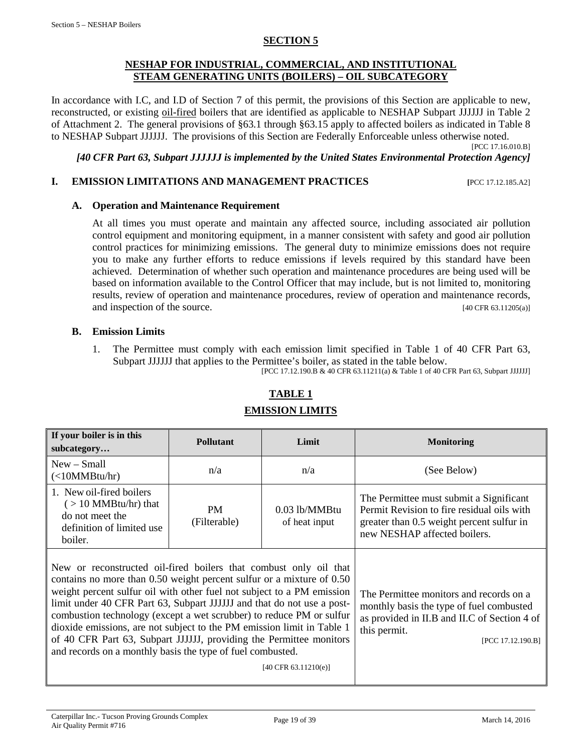#### **SECTION 5**

#### **NESHAP FOR INDUSTRIAL, COMMERCIAL, AND INSTITUTIONAL STEAM GENERATING UNITS (BOILERS) – OIL SUBCATEGORY**

<span id="page-18-0"></span>In accordance with I.C, and I.D of Section 7 of this permit, the provisions of this Section are applicable to new, reconstructed, or existing oil-fired boilers that are identified as applicable to NESHAP Subpart JJJJJJ in Table 2 of Attachment 2. The general provisions of §63.1 through §63.15 apply to affected boilers as indicated in Table 8 to NESHAP Subpart JJJJJJ. The provisions of this Section are Federally Enforceable unless otherwise noted.

[PCC 17.16.010.B]

*[40 CFR Part 63, Subpart JJJJJJ is implemented by the United States Environmental Protection Agency]*

#### **I. EMISSION LIMITATIONS AND MANAGEMENT PRACTICES [PCC 17.12.185.A2]**

#### **A. Operation and Maintenance Requirement**

At all times you must operate and maintain any affected source, including associated air pollution control equipment and monitoring equipment, in a manner consistent with safety and good air pollution control practices for minimizing emissions. The general duty to minimize emissions does not require you to make any further efforts to reduce emissions if levels required by this standard have been achieved. Determination of whether such operation and maintenance procedures are being used will be based on information available to the Control Officer that may include, but is not limited to, monitoring results, review of operation and maintenance procedures, review of operation and maintenance records, and inspection of the source. [40 CFR 63.11205(a)]

#### **B. Emission Limits**

1. The Permittee must comply with each emission limit specified in Table 1 of 40 CFR Part 63, Subpart JJJJJJ that applies to the Permittee's boiler, as stated in the table below.

[PCC 17.12.190.B & 40 CFR 63.11211(a) & Table 1 of 40 CFR Part 63, Subpart JJJJJJ]

| If your boiler is in this<br>subcategory                                                                                                                                                                                                                                                                                                                                                                                                                                                                                                                                              | <b>Pollutant</b>                                              | Limit                                                                                                                                                                    | <b>Monitoring</b>                                                                                                                                                  |  |
|---------------------------------------------------------------------------------------------------------------------------------------------------------------------------------------------------------------------------------------------------------------------------------------------------------------------------------------------------------------------------------------------------------------------------------------------------------------------------------------------------------------------------------------------------------------------------------------|---------------------------------------------------------------|--------------------------------------------------------------------------------------------------------------------------------------------------------------------------|--------------------------------------------------------------------------------------------------------------------------------------------------------------------|--|
| $New - Small$<br>(<10MMBtu/hr)                                                                                                                                                                                                                                                                                                                                                                                                                                                                                                                                                        | n/a                                                           | n/a                                                                                                                                                                      | (See Below)                                                                                                                                                        |  |
| 1. New oil-fired boilers<br>$($ > 10 MMBtu/hr) that<br>do not meet the<br>definition of limited use<br>boiler.                                                                                                                                                                                                                                                                                                                                                                                                                                                                        | $0.03$ lb/MMBtu<br><b>PM</b><br>(Filterable)<br>of heat input |                                                                                                                                                                          | The Permittee must submit a Significant<br>Permit Revision to fire residual oils with<br>greater than 0.5 weight percent sulfur in<br>new NESHAP affected boilers. |  |
| New or reconstructed oil-fired boilers that combust only oil that<br>contains no more than 0.50 weight percent sulfur or a mixture of 0.50<br>weight percent sulfur oil with other fuel not subject to a PM emission<br>limit under 40 CFR Part 63, Subpart JJJJJJ and that do not use a post-<br>combustion technology (except a wet scrubber) to reduce PM or sulfur<br>dioxide emissions, are not subject to the PM emission limit in Table 1<br>of 40 CFR Part 63, Subpart JJJJJJ, providing the Permittee monitors<br>and records on a monthly basis the type of fuel combusted. | $[40 \text{ CFR } 63.11210(e)]$                               | The Permittee monitors and records on a<br>monthly basis the type of fuel combusted<br>as provided in II.B and II.C of Section 4 of<br>this permit.<br>[PCC 17.12.190.B] |                                                                                                                                                                    |  |

# **TABLE 1 EMISSION LIMITS**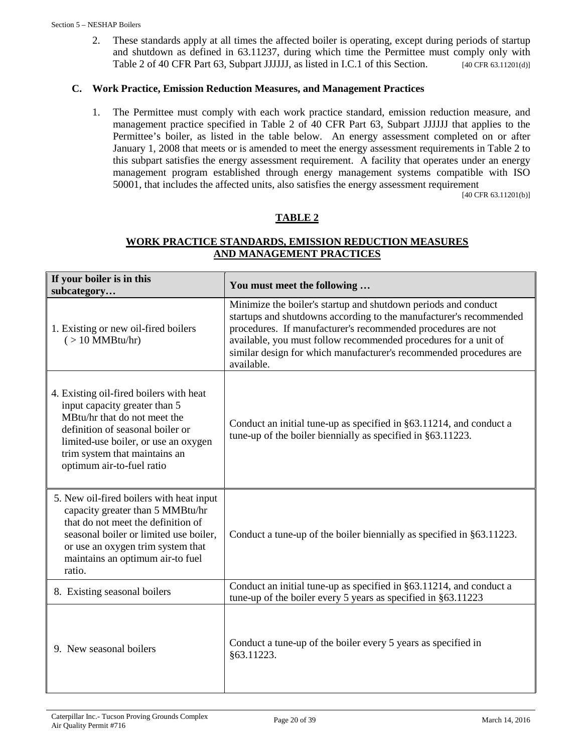2. These standards apply at all times the affected boiler is operating, except during periods of startup and shutdown as defined in 63.11237, during which time the Permittee must comply only with Table 2 of 40 CFR Part 63, Subpart JJJJJJ, as listed in I.C.1 of this Section. [40 CFR 63.11201(d)]

## **C. Work Practice, Emission Reduction Measures, and Management Practices**

1. The Permittee must comply with each work practice standard, emission reduction measure, and management practice specified in Table 2 of 40 CFR Part 63, Subpart JJJJJJ that applies to the Permittee's boiler, as listed in the table below. An energy assessment completed on or after January 1, 2008 that meets or is amended to meet the energy assessment requirements in Table 2 to this subpart satisfies the energy assessment requirement. A facility that operates under an energy management program established through energy management systems compatible with ISO 50001, that includes the affected units, also satisfies the energy assessment requirement

[40 CFR 63.11201(b)]

# **TABLE 2**

# **WORK PRACTICE STANDARDS, EMISSION REDUCTION MEASURES AND MANAGEMENT PRACTICES**

| If your boiler is in this<br>subcategory                                                                                                                                                                                                           | You must meet the following                                                                                                                                                                                                                                                                                                                                 |
|----------------------------------------------------------------------------------------------------------------------------------------------------------------------------------------------------------------------------------------------------|-------------------------------------------------------------------------------------------------------------------------------------------------------------------------------------------------------------------------------------------------------------------------------------------------------------------------------------------------------------|
| 1. Existing or new oil-fired boilers<br>$($ > 10 MMBtu/hr)                                                                                                                                                                                         | Minimize the boiler's startup and shutdown periods and conduct<br>startups and shutdowns according to the manufacturer's recommended<br>procedures. If manufacturer's recommended procedures are not<br>available, you must follow recommended procedures for a unit of<br>similar design for which manufacturer's recommended procedures are<br>available. |
| 4. Existing oil-fired boilers with heat<br>input capacity greater than 5<br>MBtu/hr that do not meet the<br>definition of seasonal boiler or<br>limited-use boiler, or use an oxygen<br>trim system that maintains an<br>optimum air-to-fuel ratio | Conduct an initial tune-up as specified in §63.11214, and conduct a<br>tune-up of the boiler biennially as specified in §63.11223.                                                                                                                                                                                                                          |
| 5. New oil-fired boilers with heat input<br>capacity greater than 5 MMBtu/hr<br>that do not meet the definition of<br>seasonal boiler or limited use boiler,<br>or use an oxygen trim system that<br>maintains an optimum air-to fuel<br>ratio.    | Conduct a tune-up of the boiler biennially as specified in §63.11223.                                                                                                                                                                                                                                                                                       |
| 8. Existing seasonal boilers                                                                                                                                                                                                                       | Conduct an initial tune-up as specified in §63.11214, and conduct a<br>tune-up of the boiler every 5 years as specified in §63.11223                                                                                                                                                                                                                        |
| 9. New seasonal boilers                                                                                                                                                                                                                            | Conduct a tune-up of the boiler every 5 years as specified in<br>§63.11223.                                                                                                                                                                                                                                                                                 |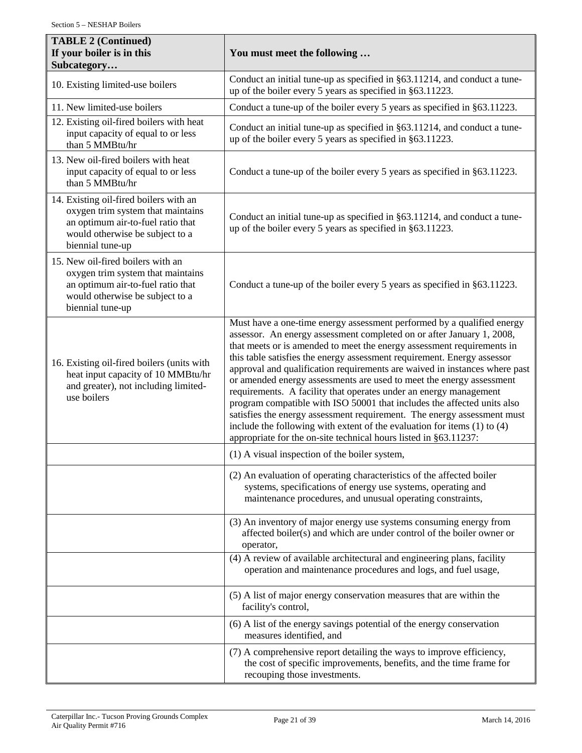| <b>TABLE 2 (Continued)</b><br>If your boiler is in this<br>Subcategory                                                                                                  | You must meet the following                                                                                                                                                                                                                                                                                                                                                                                                                                                                                                                                                                                                                                                                                                                                                                                                               |  |  |  |  |  |
|-------------------------------------------------------------------------------------------------------------------------------------------------------------------------|-------------------------------------------------------------------------------------------------------------------------------------------------------------------------------------------------------------------------------------------------------------------------------------------------------------------------------------------------------------------------------------------------------------------------------------------------------------------------------------------------------------------------------------------------------------------------------------------------------------------------------------------------------------------------------------------------------------------------------------------------------------------------------------------------------------------------------------------|--|--|--|--|--|
| 10. Existing limited-use boilers                                                                                                                                        | Conduct an initial tune-up as specified in §63.11214, and conduct a tune-<br>up of the boiler every 5 years as specified in §63.11223.                                                                                                                                                                                                                                                                                                                                                                                                                                                                                                                                                                                                                                                                                                    |  |  |  |  |  |
| 11. New limited-use boilers                                                                                                                                             | Conduct a tune-up of the boiler every 5 years as specified in §63.11223.                                                                                                                                                                                                                                                                                                                                                                                                                                                                                                                                                                                                                                                                                                                                                                  |  |  |  |  |  |
| 12. Existing oil-fired boilers with heat<br>input capacity of equal to or less<br>than 5 MMBtu/hr                                                                       | Conduct an initial tune-up as specified in §63.11214, and conduct a tune-<br>up of the boiler every 5 years as specified in §63.11223.                                                                                                                                                                                                                                                                                                                                                                                                                                                                                                                                                                                                                                                                                                    |  |  |  |  |  |
| 13. New oil-fired boilers with heat<br>input capacity of equal to or less<br>than 5 MMBtu/hr                                                                            | Conduct a tune-up of the boiler every 5 years as specified in §63.11223.                                                                                                                                                                                                                                                                                                                                                                                                                                                                                                                                                                                                                                                                                                                                                                  |  |  |  |  |  |
| 14. Existing oil-fired boilers with an<br>oxygen trim system that maintains<br>an optimum air-to-fuel ratio that<br>would otherwise be subject to a<br>biennial tune-up | Conduct an initial tune-up as specified in §63.11214, and conduct a tune-<br>up of the boiler every 5 years as specified in §63.11223.                                                                                                                                                                                                                                                                                                                                                                                                                                                                                                                                                                                                                                                                                                    |  |  |  |  |  |
| 15. New oil-fired boilers with an<br>oxygen trim system that maintains<br>an optimum air-to-fuel ratio that<br>would otherwise be subject to a<br>biennial tune-up      | Conduct a tune-up of the boiler every 5 years as specified in §63.11223.                                                                                                                                                                                                                                                                                                                                                                                                                                                                                                                                                                                                                                                                                                                                                                  |  |  |  |  |  |
| 16. Existing oil-fired boilers (units with<br>heat input capacity of 10 MMBtu/hr<br>and greater), not including limited-<br>use boilers                                 | Must have a one-time energy assessment performed by a qualified energy<br>assessor. An energy assessment completed on or after January 1, 2008,<br>that meets or is amended to meet the energy assessment requirements in<br>this table satisfies the energy assessment requirement. Energy assessor<br>approval and qualification requirements are waived in instances where past<br>or amended energy assessments are used to meet the energy assessment<br>requirements. A facility that operates under an energy management<br>program compatible with ISO 50001 that includes the affected units also<br>satisfies the energy assessment requirement. The energy assessment must<br>include the following with extent of the evaluation for items $(1)$ to $(4)$<br>appropriate for the on-site technical hours listed in §63.11237: |  |  |  |  |  |
|                                                                                                                                                                         | (1) A visual inspection of the boiler system,                                                                                                                                                                                                                                                                                                                                                                                                                                                                                                                                                                                                                                                                                                                                                                                             |  |  |  |  |  |
|                                                                                                                                                                         | (2) An evaluation of operating characteristics of the affected boiler<br>systems, specifications of energy use systems, operating and<br>maintenance procedures, and unusual operating constraints,                                                                                                                                                                                                                                                                                                                                                                                                                                                                                                                                                                                                                                       |  |  |  |  |  |
|                                                                                                                                                                         | (3) An inventory of major energy use systems consuming energy from<br>affected boiler(s) and which are under control of the boiler owner or<br>operator,                                                                                                                                                                                                                                                                                                                                                                                                                                                                                                                                                                                                                                                                                  |  |  |  |  |  |
|                                                                                                                                                                         | (4) A review of available architectural and engineering plans, facility<br>operation and maintenance procedures and logs, and fuel usage,                                                                                                                                                                                                                                                                                                                                                                                                                                                                                                                                                                                                                                                                                                 |  |  |  |  |  |
|                                                                                                                                                                         | (5) A list of major energy conservation measures that are within the<br>facility's control,                                                                                                                                                                                                                                                                                                                                                                                                                                                                                                                                                                                                                                                                                                                                               |  |  |  |  |  |
|                                                                                                                                                                         | (6) A list of the energy savings potential of the energy conservation<br>measures identified, and                                                                                                                                                                                                                                                                                                                                                                                                                                                                                                                                                                                                                                                                                                                                         |  |  |  |  |  |
|                                                                                                                                                                         | (7) A comprehensive report detailing the ways to improve efficiency,<br>the cost of specific improvements, benefits, and the time frame for<br>recouping those investments.                                                                                                                                                                                                                                                                                                                                                                                                                                                                                                                                                                                                                                                               |  |  |  |  |  |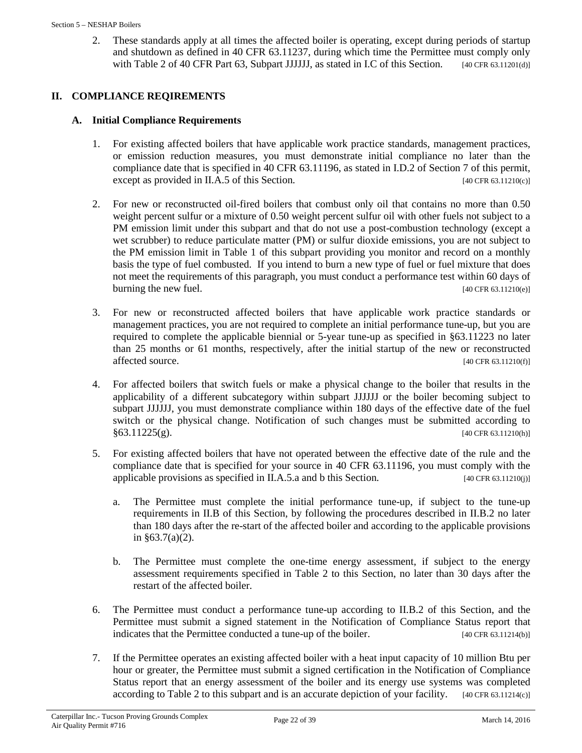2. These standards apply at all times the affected boiler is operating, except during periods of startup and shutdown as defined in 40 CFR 63.11237, during which time the Permittee must comply only with Table 2 of 40 CFR Part 63, Subpart JJJJJJ, as stated in I.C of this Section. [40 CFR 63.11201(d)]

# **II. COMPLIANCE REQIREMENTS**

# **A. Initial Compliance Requirements**

- 1. For existing affected boilers that have applicable work practice standards, management practices, or emission reduction measures, you must demonstrate initial compliance no later than the compliance date that is specified in 40 CFR 63.11196, as stated in I.D.2 of Section 7 of this permit, except as provided in II.A.5 of this Section. [40 CFR 63.11210(c)]
- 2. For new or reconstructed oil-fired boilers that combust only oil that contains no more than 0.50 weight percent sulfur or a mixture of 0.50 weight percent sulfur oil with other fuels not subject to a PM emission limit under this subpart and that do not use a post-combustion technology (except a wet scrubber) to reduce particulate matter (PM) or sulfur dioxide emissions, you are not subject to the PM emission limit in Table 1 of this subpart providing you monitor and record on a monthly basis the type of fuel combusted. If you intend to burn a new type of fuel or fuel mixture that does not meet the requirements of this paragraph, you must conduct a performance test within 60 days of burning the new fuel. [40 CFR 63.11210(e)]
- 3. For new or reconstructed affected boilers that have applicable work practice standards or management practices, you are not required to complete an initial performance tune-up, but you are required to complete the applicable biennial or 5-year tune-up as specified in §63.11223 no later than 25 months or 61 months, respectively, after the initial startup of the new or reconstructed  $\text{affected source.}$  [40 CFR 63.11210(f)]
- 4. For affected boilers that switch fuels or make a physical change to the boiler that results in the applicability of a different subcategory within subpart JJJJJJ or the boiler becoming subject to subpart JJJJJJ, you must demonstrate compliance within 180 days of the effective date of the fuel switch or the physical change. Notification of such changes must be submitted according to  $§63.11225(g).$  [40 CFR 63.11210(h)]
- 5. For existing affected boilers that have not operated between the effective date of the rule and the compliance date that is specified for your source in 40 CFR 63.11196, you must comply with the applicable provisions as specified in II.A.5.a and b this Section.  $[40 \text{ CFR } 63.11210(i)]$ 
	- a. The Permittee must complete the initial performance tune-up, if subject to the tune-up requirements in II.B of this Section, by following the procedures described in II.B.2 no later than 180 days after the re-start of the affected boiler and according to the applicable provisions in  $§63.7(a)(2)$ .
	- b. The Permittee must complete the one-time energy assessment, if subject to the energy assessment requirements specified in Table 2 to this Section, no later than 30 days after the restart of the affected boiler.
- 6. The Permittee must conduct a performance tune-up according to II.B.2 of this Section, and the Permittee must submit a signed statement in the Notification of Compliance Status report that indicates that the Permittee conducted a tune-up of the boiler. [40 CFR 63.11214(b)]
- 7. If the Permittee operates an existing affected boiler with a heat input capacity of 10 million Btu per hour or greater, the Permittee must submit a signed certification in the Notification of Compliance Status report that an energy assessment of the boiler and its energy use systems was completed according to Table 2 to this subpart and is an accurate depiction of your facility. [40 CFR 63.11214(c)]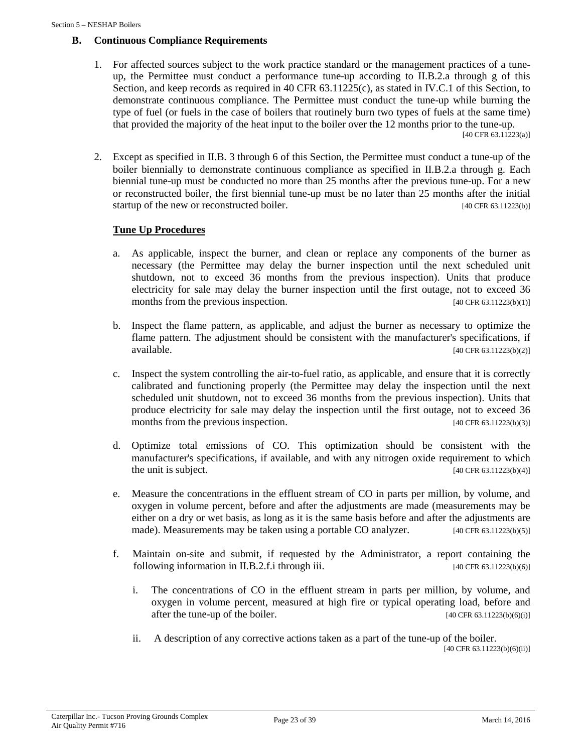#### **B. Continuous Compliance Requirements**

1. For affected sources subject to the work practice standard or the management practices of a tuneup, the Permittee must conduct a performance tune-up according to II.B.2.a through g of this Section, and keep records as required in 40 CFR  $63.11225(c)$ , as stated in IV.C.1 of this Section, to demonstrate continuous compliance. The Permittee must conduct the tune-up while burning the type of fuel (or fuels in the case of boilers that routinely burn two types of fuels at the same time) that provided the majority of the heat input to the boiler over the 12 months prior to the tune-up.

 $[40 \text{ CFR } 63.11223(a)]$ 

2. Except as specified in II.B. 3 through 6 of this Section, the Permittee must conduct a tune-up of the boiler biennially to demonstrate continuous compliance as specified in II.B.2.a through g. Each biennial tune-up must be conducted no more than 25 months after the previous tune-up. For a new or reconstructed boiler, the first biennial tune-up must be no later than 25 months after the initial startup of the new or reconstructed boiler.  $\frac{1}{40}$  CFR 63.11223(b)]

#### **Tune Up Procedures**

- a. As applicable, inspect the burner, and clean or replace any components of the burner as necessary (the Permittee may delay the burner inspection until the next scheduled unit shutdown, not to exceed 36 months from the previous inspection). Units that produce electricity for sale may delay the burner inspection until the first outage, not to exceed 36 months from the previous inspection.  $[40 \text{ CFR } 63.11223(b)(1)]$
- b. Inspect the flame pattern, as applicable, and adjust the burner as necessary to optimize the flame pattern. The adjustment should be consistent with the manufacturer's specifications, if  $[40 \text{ CFR } 63.11223(b)(2)]$
- c. Inspect the system controlling the air-to-fuel ratio, as applicable, and ensure that it is correctly calibrated and functioning properly (the Permittee may delay the inspection until the next scheduled unit shutdown, not to exceed 36 months from the previous inspection). Units that produce electricity for sale may delay the inspection until the first outage, not to exceed 36 months from the previous inspection.  $[40 \text{ CFR } 63.11223(b)(3)]$
- d. Optimize total emissions of CO. This optimization should be consistent with the manufacturer's specifications, if available, and with any nitrogen oxide requirement to which the unit is subject.  $[40 \text{ CFR } 63.11223(b)(4)]$
- e. Measure the concentrations in the effluent stream of CO in parts per million, by volume, and oxygen in volume percent, before and after the adjustments are made (measurements may be either on a dry or wet basis, as long as it is the same basis before and after the adjustments are made). Measurements may be taken using a portable CO analyzer.  $[40 \text{ CFR } 63.11223(b)(5)]$
- f. Maintain on-site and submit, if requested by the Administrator, a report containing the following information in II.B.2.f.i through iii.  $[40 \text{ CFR } 63.11223(b)(6)]$ 
	- i. The concentrations of CO in the effluent stream in parts per million, by volume, and oxygen in volume percent, measured at high fire or typical operating load, before and after the tune-up of the boiler.  $[40 \text{ CFR } 63.11223(b)(6)(i)]$
	- ii. A description of any corrective actions taken as a part of the tune-up of the boiler. [40 CFR 63.11223(b)(6)(ii)]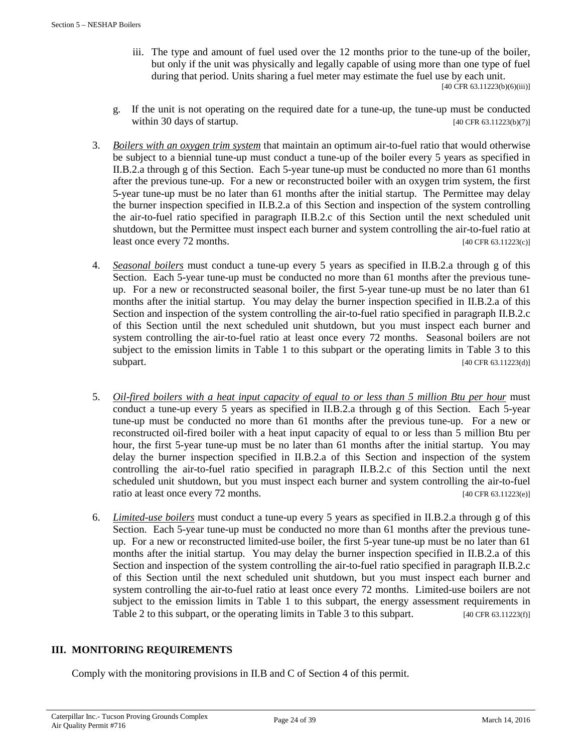iii. The type and amount of fuel used over the 12 months prior to the tune-up of the boiler, but only if the unit was physically and legally capable of using more than one type of fuel during that period. Units sharing a fuel meter may estimate the fuel use by each unit.

[40 CFR 63.11223(b)(6)(iii)]

- g. If the unit is not operating on the required date for a tune-up, the tune-up must be conducted within 30 days of startup.  $[40 \text{ CFR } 63.11223(b)(7)]$
- 3. *Boilers with an oxygen trim system* that maintain an optimum air-to-fuel ratio that would otherwise be subject to a biennial tune-up must conduct a tune-up of the boiler every 5 years as specified in II.B.2.a through g of this Section. Each 5-year tune-up must be conducted no more than 61 months after the previous tune-up. For a new or reconstructed boiler with an oxygen trim system, the first 5-year tune-up must be no later than 61 months after the initial startup. The Permittee may delay the burner inspection specified in II.B.2.a of this Section and inspection of the system controlling the air-to-fuel ratio specified in paragraph II.B.2.c of this Section until the next scheduled unit shutdown, but the Permittee must inspect each burner and system controlling the air-to-fuel ratio at least once every  $72$  months. [40 CFR 63.11223(c)]
- 4. *Seasonal boilers* must conduct a tune-up every 5 years as specified in II.B.2.a through g of this Section. Each 5-year tune-up must be conducted no more than 61 months after the previous tuneup. For a new or reconstructed seasonal boiler, the first 5-year tune-up must be no later than 61 months after the initial startup. You may delay the burner inspection specified in II.B.2.a of this Section and inspection of the system controlling the air-to-fuel ratio specified in paragraph II.B.2.c of this Section until the next scheduled unit shutdown, but you must inspect each burner and system controlling the air-to-fuel ratio at least once every 72 months. Seasonal boilers are not subject to the emission limits in Table 1 to this subpart or the operating limits in Table 3 to this subpart. [40 CFR 63.11223(d)]
- 5. *Oil-fired boilers with a heat input capacity of equal to or less than 5 million Btu per hour* must conduct a tune-up every 5 years as specified in II.B.2.a through g of this Section. Each 5-year tune-up must be conducted no more than 61 months after the previous tune-up. For a new or reconstructed oil-fired boiler with a heat input capacity of equal to or less than 5 million Btu per hour, the first 5-year tune-up must be no later than 61 months after the initial startup. You may delay the burner inspection specified in II.B.2.a of this Section and inspection of the system controlling the air-to-fuel ratio specified in paragraph II.B.2.c of this Section until the next scheduled unit shutdown, but you must inspect each burner and system controlling the air-to-fuel ratio at least once every 72 months. [40 CFR 63.11223(e)]
- 6. *Limited-use boilers* must conduct a tune-up every 5 years as specified in II.B.2.a through g of this Section. Each 5-year tune-up must be conducted no more than 61 months after the previous tuneup. For a new or reconstructed limited-use boiler, the first 5-year tune-up must be no later than 61 months after the initial startup. You may delay the burner inspection specified in II.B.2.a of this Section and inspection of the system controlling the air-to-fuel ratio specified in paragraph II.B.2.c of this Section until the next scheduled unit shutdown, but you must inspect each burner and system controlling the air-to-fuel ratio at least once every 72 months. Limited-use boilers are not subject to the emission limits in Table 1 to this subpart, the energy assessment requirements in Table 2 to this subpart, or the operating limits in Table 3 to this subpart. [40 CFR 63.11223(f)]

# **III. MONITORING REQUIREMENTS**

Comply with the monitoring provisions in II.B and C of Section 4 of this permit.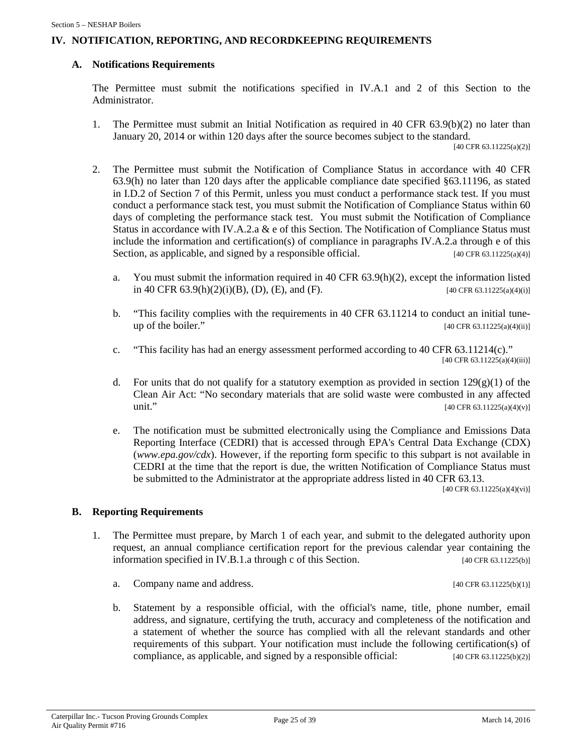#### **IV. NOTIFICATION, REPORTING, AND RECORDKEEPING REQUIREMENTS**

#### **A. Notifications Requirements**

The Permittee must submit the notifications specified in IV.A.1 and 2 of this Section to the Administrator.

1. The Permittee must submit an Initial Notification as required in 40 CFR 63.9(b)(2) no later than January 20, 2014 or within 120 days after the source becomes subject to the standard.

[40 CFR 63.11225(a)(2)]

- 2. The Permittee must submit the Notification of Compliance Status in accordance with 40 CFR 63.9(h) no later than 120 days after the applicable compliance date specified §63.11196, as stated in I.D.2 of Section 7 of this Permit, unless you must conduct a performance stack test. If you must conduct a performance stack test, you must submit the Notification of Compliance Status within 60 days of completing the performance stack test. You must submit the Notification of Compliance Status in accordance with IV.A.2.a & e of this Section. The Notification of Compliance Status must include the information and certification(s) of compliance in paragraphs IV.A.2.a through e of this Section, as applicable, and signed by a responsible official.  $[40 \text{ CFR } 63.11225(a/4)]$ 
	- a. You must submit the information required in 40 CFR 63.9(h)(2), except the information listed in 40 CFR 63.9(h)(2)(i)(B), (D), (E), and (F). [40 CFR 63.11225(a)(4)(i)]
	- b. "This facility complies with the requirements in 40 CFR 63.11214 to conduct an initial tuneup of the boiler."  $[40 \text{ CFR } 63.11225(a)(4)(ii)]$
	- c. "This facility has had an energy assessment performed according to 40 CFR 63.11214(c)."  $[40 \text{ CFR } 63.11225(a)(4)(iii)]$
	- d. For units that do not qualify for a statutory exemption as provided in section  $129(g)(1)$  of the Clean Air Act: "No secondary materials that are solid waste were combusted in any affected unit." [40 CFR 63.11225(a)(4)(v)]
	- e. The notification must be submitted electronically using the Compliance and Emissions Data Reporting Interface (CEDRI) that is accessed through EPA's Central Data Exchange (CDX) (*www.epa.gov/cdx*). However, if the reporting form specific to this subpart is not available in CEDRI at the time that the report is due, the written Notification of Compliance Status must be submitted to the Administrator at the appropriate address listed in 40 CFR 63.13.

[40 CFR 63.11225(a)(4)(vi)]

#### **B. Reporting Requirements**

- 1. The Permittee must prepare, by March 1 of each year, and submit to the delegated authority upon request, an annual compliance certification report for the previous calendar year containing the information specified in IV.B.1.a through c of this Section. [40 CFR 63.11225(b)]
	- a. Company name and address.  $[40 \text{ CFR } 63.11225(b)(1)]$
	- b. Statement by a responsible official, with the official's name, title, phone number, email address, and signature, certifying the truth, accuracy and completeness of the notification and a statement of whether the source has complied with all the relevant standards and other requirements of this subpart. Your notification must include the following certification(s) of compliance, as applicable, and signed by a responsible official:  $[40 \text{ CFR } 63.11225(b)(2)]$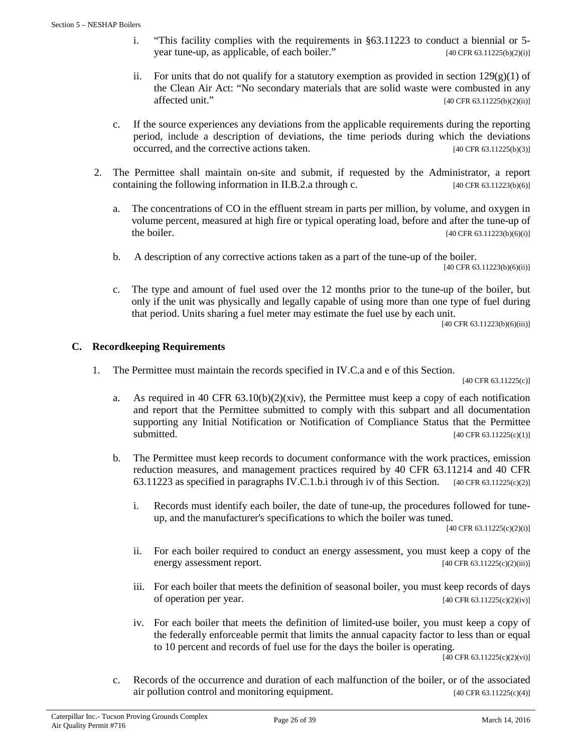- i. "This facility complies with the requirements in §63.11223 to conduct a biennial or 5 year tune-up, as applicable, of each boiler." [40 CFR 63.11225(b)(2)(i)]
- ii. For units that do not qualify for a statutory exemption as provided in section  $129(g)(1)$  of the Clean Air Act: "No secondary materials that are solid waste were combusted in any affected unit." [40 CFR 63.11225(b)(2)(ii)]
- c. If the source experiences any deviations from the applicable requirements during the reporting period, include a description of deviations, the time periods during which the deviations occurred, and the corrective actions taken. [40 CFR 63.11225(b)(3)]
- 2. The Permittee shall maintain on-site and submit, if requested by the Administrator, a report containing the following information in II.B.2.a through c.  $[40 \text{ CFR } 63.11223(b)(6)]$ 
	- a. The concentrations of CO in the effluent stream in parts per million, by volume, and oxygen in volume percent, measured at high fire or typical operating load, before and after the tune-up of the boiler. [40 CFR 63.11223(b)(6)(i)]
	- b. A description of any corrective actions taken as a part of the tune-up of the boiler.

[40 CFR 63.11223(b)(6)(ii)]

c. The type and amount of fuel used over the 12 months prior to the tune-up of the boiler, but only if the unit was physically and legally capable of using more than one type of fuel during that period. Units sharing a fuel meter may estimate the fuel use by each unit.

[40 CFR 63.11223(b)(6)(iii)]

#### **C. Recordkeeping Requirements**

1. The Permittee must maintain the records specified in IV.C.a and e of this Section.

[40 CFR 63.11225(c)]

- a. As required in 40 CFR  $63.10(b)(2)(xiv)$ , the Permittee must keep a copy of each notification and report that the Permittee submitted to comply with this subpart and all documentation supporting any Initial Notification or Notification of Compliance Status that the Permittee submitted. [40 CFR 63.11225(c)(1)]
- b. The Permittee must keep records to document conformance with the work practices, emission reduction measures, and management practices required by 40 CFR 63.11214 and 40 CFR 63.11223 as specified in paragraphs IV.C.1.b.i through iv of this Section. [40 CFR 63.11225(c)(2)]
	- i. Records must identify each boiler, the date of tune-up, the procedures followed for tuneup, and the manufacturer's specifications to which the boiler was tuned.

[40 CFR 63.11225(c)(2)(i)]

- ii. For each boiler required to conduct an energy assessment, you must keep a copy of the energy assessment report. [40 CFR 63.11225(c)(2)(iii)]
- iii. For each boiler that meets the definition of seasonal boiler, you must keep records of days of operation per year.  $[40 \text{ CFR } 63.11225(c)(2)(iv)]$
- iv. For each boiler that meets the definition of limited-use boiler, you must keep a copy of the federally enforceable permit that limits the annual capacity factor to less than or equal to 10 percent and records of fuel use for the days the boiler is operating.

 $[40 \text{ CFR } 63.11225(c)(2)(vi)]$ 

c. Records of the occurrence and duration of each malfunction of the boiler, or of the associated air pollution control and monitoring equipment.  $[40 \text{ CFR } 63.11225(c)(4)]$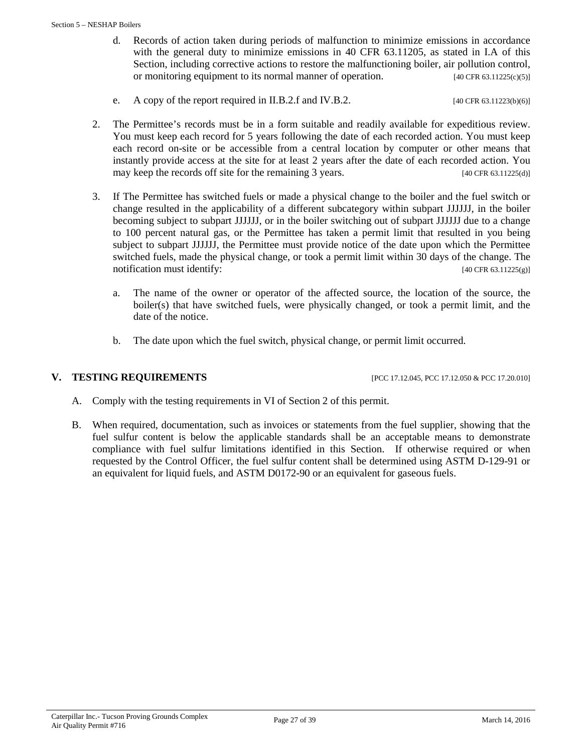- d. Records of action taken during periods of malfunction to minimize emissions in accordance with the general duty to minimize emissions in 40 CFR 63.11205, as stated in I.A of this Section, including corrective actions to restore the malfunctioning boiler, air pollution control, or monitoring equipment to its normal manner of operation. [40 CFR 63.11225(c)(5)]
- e. A copy of the report required in II.B.2.f and IV.B.2.  $[40 \text{ CFR } 63.11223(b)(6)]$
- 2. The Permittee's records must be in a form suitable and readily available for expeditious review. You must keep each record for 5 years following the date of each recorded action. You must keep each record on-site or be accessible from a central location by computer or other means that instantly provide access at the site for at least 2 years after the date of each recorded action. You may keep the records off site for the remaining 3 years. [40 CFR 63.11225(d)]
- 3. If The Permittee has switched fuels or made a physical change to the boiler and the fuel switch or change resulted in the applicability of a different subcategory within subpart JJJJJJ, in the boiler becoming subject to subpart JJJJJJ, or in the boiler switching out of subpart JJJJJJ due to a change to 100 percent natural gas, or the Permittee has taken a permit limit that resulted in you being subject to subpart JJJJJJ, the Permittee must provide notice of the date upon which the Permittee switched fuels, made the physical change, or took a permit limit within 30 days of the change. The notification must identify:  $[40 \text{ CFR } 63.11225(\text{g})]$ 
	- a. The name of the owner or operator of the affected source, the location of the source, the boiler(s) that have switched fuels, were physically changed, or took a permit limit, and the date of the notice.
	- b. The date upon which the fuel switch, physical change, or permit limit occurred.

**V. TESTING REQUIREMENTS** [PCC 17.12.045, PCC 17.12.050 & PCC 17.20.010]

- A. Comply with the testing requirements in VI of Section 2 of this permit.
- B. When required, documentation, such as invoices or statements from the fuel supplier, showing that the fuel sulfur content is below the applicable standards shall be an acceptable means to demonstrate compliance with fuel sulfur limitations identified in this Section. If otherwise required or when requested by the Control Officer, the fuel sulfur content shall be determined using ASTM D-129-91 or an equivalent for liquid fuels, and ASTM D0172-90 or an equivalent for gaseous fuels.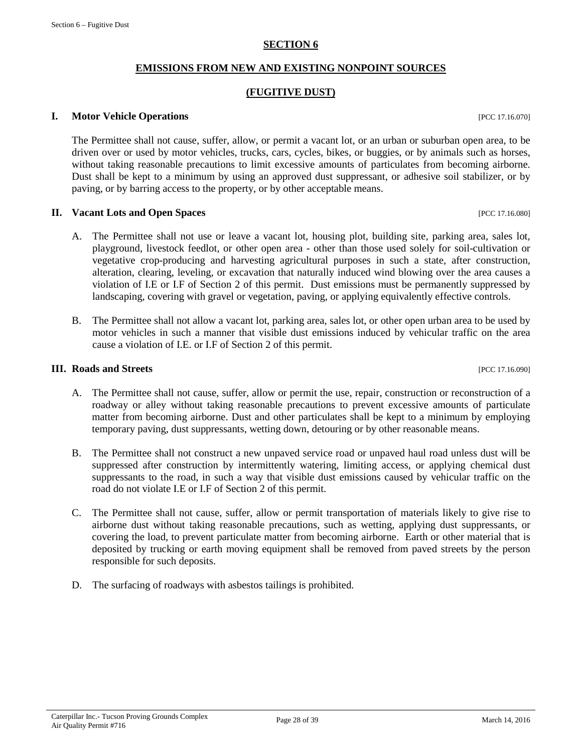#### **SECTION 6**

#### **EMISSIONS FROM NEW AND EXISTING NONPOINT SOURCES**

### **(FUGITIVE DUST)**

#### <span id="page-27-0"></span>**I. Motor Vehicle Operations I. Motor Vehicle Operations**

The Permittee shall not cause, suffer, allow, or permit a vacant lot, or an urban or suburban open area, to be driven over or used by motor vehicles, trucks, cars, cycles, bikes, or buggies, or by animals such as horses, without taking reasonable precautions to limit excessive amounts of particulates from becoming airborne. Dust shall be kept to a minimum by using an approved dust suppressant, or adhesive soil stabilizer, or by paving, or by barring access to the property, or by other acceptable means.

#### **II. Vacant Lots and Open Spaces** [PCC 17.16.080]

- A. The Permittee shall not use or leave a vacant lot, housing plot, building site, parking area, sales lot, playground, livestock feedlot, or other open area - other than those used solely for soil-cultivation or vegetative crop-producing and harvesting agricultural purposes in such a state, after construction, alteration, clearing, leveling, or excavation that naturally induced wind blowing over the area causes a violation of I.E or I.F of Section 2 of this permit. Dust emissions must be permanently suppressed by landscaping, covering with gravel or vegetation, paving, or applying equivalently effective controls.
- B. The Permittee shall not allow a vacant lot, parking area, sales lot, or other open urban area to be used by motor vehicles in such a manner that visible dust emissions induced by vehicular traffic on the area cause a violation of I.E. or I.F of Section 2 of this permit.

#### **III. Roads and Streets** [PCC 17.16.090]

- A. The Permittee shall not cause, suffer, allow or permit the use, repair, construction or reconstruction of a roadway or alley without taking reasonable precautions to prevent excessive amounts of particulate matter from becoming airborne. Dust and other particulates shall be kept to a minimum by employing temporary paving, dust suppressants, wetting down, detouring or by other reasonable means.
- B. The Permittee shall not construct a new unpaved service road or unpaved haul road unless dust will be suppressed after construction by intermittently watering, limiting access, or applying chemical dust suppressants to the road, in such a way that visible dust emissions caused by vehicular traffic on the road do not violate I.E or I.F of Section 2 of this permit.
- C. The Permittee shall not cause, suffer, allow or permit transportation of materials likely to give rise to airborne dust without taking reasonable precautions, such as wetting, applying dust suppressants, or covering the load, to prevent particulate matter from becoming airborne. Earth or other material that is deposited by trucking or earth moving equipment shall be removed from paved streets by the person responsible for such deposits.
- D. The surfacing of roadways with asbestos tailings is prohibited.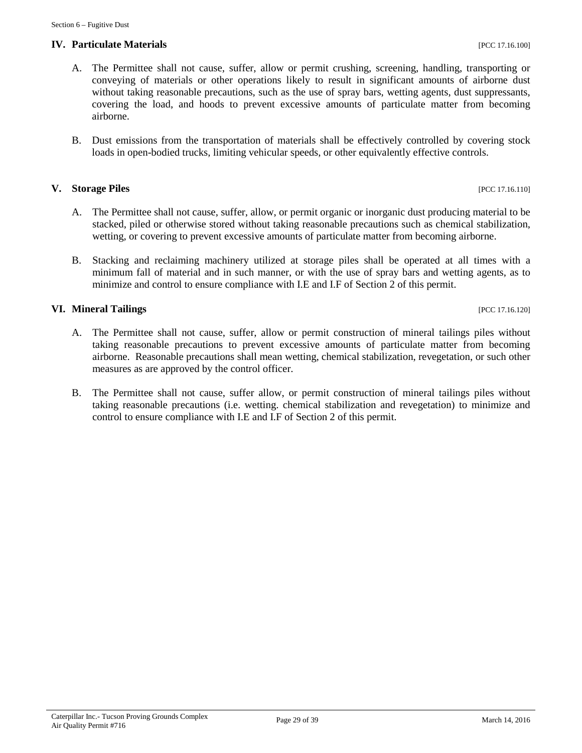#### **IV. Particulate Materials** [PCC 17.16.100]

- A. The Permittee shall not cause, suffer, allow or permit crushing, screening, handling, transporting or conveying of materials or other operations likely to result in significant amounts of airborne dust without taking reasonable precautions, such as the use of spray bars, wetting agents, dust suppressants, covering the load, and hoods to prevent excessive amounts of particulate matter from becoming airborne.
- B. Dust emissions from the transportation of materials shall be effectively controlled by covering stock loads in open-bodied trucks, limiting vehicular speeds, or other equivalently effective controls.

#### **V. Storage Piles** [PCC 17.16.110]

- A. The Permittee shall not cause, suffer, allow, or permit organic or inorganic dust producing material to be stacked, piled or otherwise stored without taking reasonable precautions such as chemical stabilization, wetting, or covering to prevent excessive amounts of particulate matter from becoming airborne.
- B. Stacking and reclaiming machinery utilized at storage piles shall be operated at all times with a minimum fall of material and in such manner, or with the use of spray bars and wetting agents, as to minimize and control to ensure compliance with I.E and I.F of Section 2 of this permit.

#### **VI. Mineral Tailings** [PCC 17.16.120]

- A. The Permittee shall not cause, suffer, allow or permit construction of mineral tailings piles without taking reasonable precautions to prevent excessive amounts of particulate matter from becoming airborne. Reasonable precautions shall mean wetting, chemical stabilization, revegetation, or such other measures as are approved by the control officer.
- B. The Permittee shall not cause, suffer allow, or permit construction of mineral tailings piles without taking reasonable precautions (i.e. wetting. chemical stabilization and revegetation) to minimize and control to ensure compliance with I.E and I.F of Section 2 of this permit.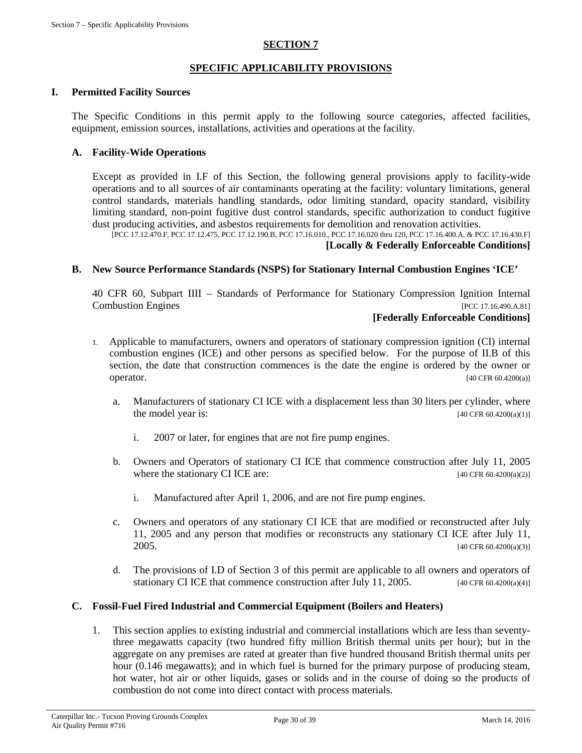#### **SECTION 7**

#### **SPECIFIC APPLICABILITY PROVISIONS**

#### <span id="page-29-0"></span>**I. Permitted Facility Sources**

The Specific Conditions in this permit apply to the following source categories, affected facilities, equipment, emission sources, installations, activities and operations at the facility.

#### **A. Facility-Wide Operations**

Except as provided in I.F of this Section, the following general provisions apply to facility-wide operations and to all sources of air contaminants operating at the facility: voluntary limitations, general control standards, materials handling standards, odor limiting standard, opacity standard, visibility limiting standard, non-point fugitive dust control standards, specific authorization to conduct fugitive dust producing activities, and asbestos requirements for demolition and renovation activities.

[PCC 17.12.470.F, PCC 17.12.475, PCC 17.12.190.B, PCC 17.16.010., PCC 17.16.020 thru 120, PCC 17.16.400.A, & PCC 17.16.430.F] **[Locally & Federally Enforceable Conditions]**

#### **B. New Source Performance Standards (NSPS) for Stationary Internal Combustion Engines 'ICE'**

40 CFR 60, Subpart IIII – Standards of Performance for Stationary Compression Ignition Internal Combustion Engines [PCC 17.16.490.A.81]

#### **[Federally Enforceable Conditions]**

- 1. Applicable to manufacturers, owners and operators of stationary compression ignition (CI) internal combustion engines (ICE) and other persons as specified below. For the purpose of II.B of this section, the date that construction commences is the date the engine is ordered by the owner or **operator.** [40 CFR 60.4200(a)]
	- a. Manufacturers of stationary CI ICE with a displacement less than 30 liters per cylinder, where the model year is:  $[40 \text{ CFR } 60.4200(a)(1)]$ 
		- i. 2007 or later, for engines that are not fire pump engines.
	- b. Owners and Operators of stationary CI ICE that commence construction after July 11, 2005 where the stationary CI ICE are:  $[40 \text{ CFR } 60.4200(a/2)]$ 
		- i. Manufactured after April 1, 2006, and are not fire pump engines.
	- c. Owners and operators of any stationary CI ICE that are modified or reconstructed after July 11, 2005 and any person that modifies or reconstructs any stationary CI ICE after July 11,  $2005.$  [40 CFR 60.4200(a)(3)]
	- d. The provisions of I.D of Section 3 of this permit are applicable to all owners and operators of stationary CI ICE that commence construction after July 11, 2005.  $[40 \text{ CFR } 60.4200(a/4)]$

#### **C. Fossil-Fuel Fired Industrial and Commercial Equipment (Boilers and Heaters)**

1. This section applies to existing industrial and commercial installations which are less than seventythree megawatts capacity (two hundred fifty million British thermal units per hour); but in the aggregate on any premises are rated at greater than five hundred thousand British thermal units per hour (0.146 megawatts); and in which fuel is burned for the primary purpose of producing steam, hot water, hot air or other liquids, gases or solids and in the course of doing so the products of combustion do not come into direct contact with process materials.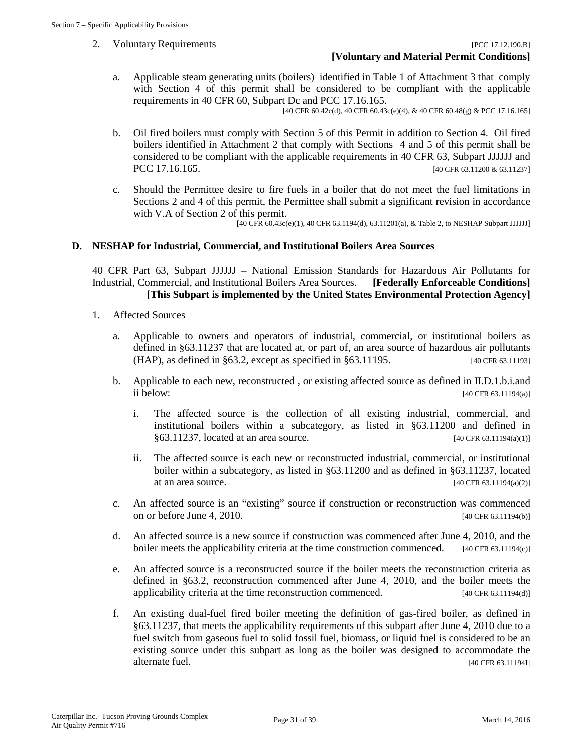a. Applicable steam generating units (boilers) identified in Table 1 of Attachment 3 that comply with Section 4 of this permit shall be considered to be compliant with the applicable requirements in 40 CFR 60, Subpart Dc and PCC 17.16.165.

[40 CFR 60.42c(d), 40 CFR 60.43c(e)(4), & 40 CFR 60.48(g) & PCC 17.16.165]

- b. Oil fired boilers must comply with Section 5 of this Permit in addition to Section 4. Oil fired boilers identified in Attachment 2 that comply with Sections 4 and 5 of this permit shall be considered to be compliant with the applicable requirements in 40 CFR 63, Subpart JJJJJJ and PCC 17.16.165. [40 CFR 63.11200 & 63.11237]
- c. Should the Permittee desire to fire fuels in a boiler that do not meet the fuel limitations in Sections 2 and 4 of this permit, the Permittee shall submit a significant revision in accordance with V.A of Section 2 of this permit.

[40 CFR 60.43c(e)(1), 40 CFR 63.1194(d), 63.11201(a), & Table 2, to NESHAP Subpart JJJJJJ]

#### **D. NESHAP for Industrial, Commercial, and Institutional Boilers Area Sources**

40 CFR Part 63, Subpart JJJJJJ – National Emission Standards for Hazardous Air Pollutants for Industrial, Commercial, and Institutional Boilers Area Sources. **[Federally Enforceable Conditions] [This Subpart is implemented by the United States Environmental Protection Agency]**

- 1. Affected Sources
	- a. Applicable to owners and operators of industrial, commercial, or institutional boilers as defined in §63.11237 that are located at, or part of, an area source of hazardous air pollutants (HAP), as defined in §63.2, except as specified in §63.11195. [40 CFR 63.11193]
	- b. Applicable to each new, reconstructed , or existing affected source as defined in II.D.1.b.i.and ii below: [40 CFR 63.11194(a)]
		- i. The affected source is the collection of all existing industrial, commercial, and institutional boilers within a subcategory, as listed in §63.11200 and defined in §63.11237, located at an area source. [40 CFR 63.11194(a)(1)]
		- ii. The affected source is each new or reconstructed industrial, commercial, or institutional boiler within a subcategory, as listed in §63.11200 and as defined in §63.11237, located at an area source.  $[40 \text{ CFR } 63.11194(a)(2)]$
	- c. An affected source is an "existing" source if construction or reconstruction was commenced on or before June 4, 2010.  $[40 \text{ CFR } 63.11194(b)]$
	- d. An affected source is a new source if construction was commenced after June 4, 2010, and the boiler meets the applicability criteria at the time construction commenced. [40 CFR 63.11194(c)]
	- e. An affected source is a reconstructed source if the boiler meets the reconstruction criteria as defined in §63.2, reconstruction commenced after June 4, 2010, and the boiler meets the applicability criteria at the time reconstruction commenced.  $[40 \text{ CFR } 63.11194(d)]$
	- f. An existing dual-fuel fired boiler meeting the definition of gas-fired boiler, as defined in §63.11237, that meets the applicability requirements of this subpart after June 4, 2010 due to a fuel switch from gaseous fuel to solid fossil fuel, biomass, or liquid fuel is considered to be an existing source under this subpart as long as the boiler was designed to accommodate the alternate fuel. [40 CFR 63.11194I]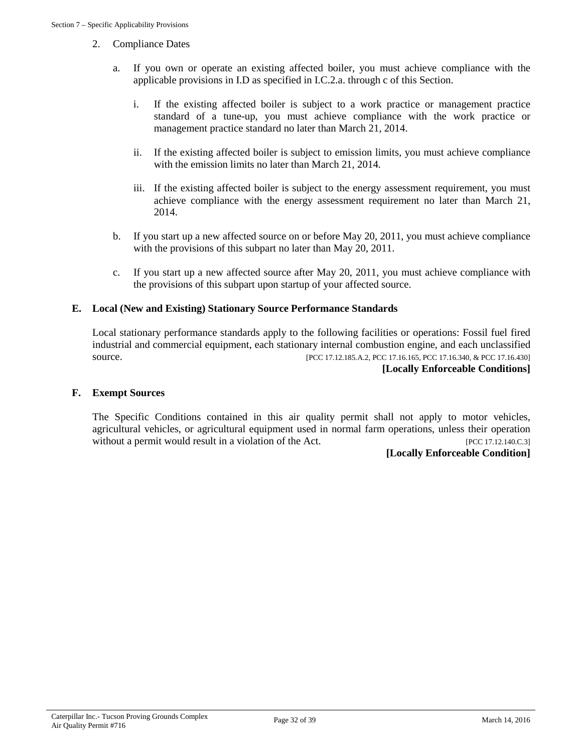- 2. Compliance Dates
	- a. If you own or operate an existing affected boiler, you must achieve compliance with the applicable provisions in I.D as specified in I.C.2.a. through c of this Section.
		- i. If the existing affected boiler is subject to a work practice or management practice standard of a tune-up, you must achieve compliance with the work practice or management practice standard no later than March 21, 2014.
		- ii. If the existing affected boiler is subject to emission limits, you must achieve compliance with the emission limits no later than March 21, 2014.
		- iii. If the existing affected boiler is subject to the energy assessment requirement, you must achieve compliance with the energy assessment requirement no later than March 21, 2014.
	- b. If you start up a new affected source on or before May 20, 2011, you must achieve compliance with the provisions of this subpart no later than May 20, 2011.
	- c. If you start up a new affected source after May 20, 2011, you must achieve compliance with the provisions of this subpart upon startup of your affected source.

# **E. Local (New and Existing) Stationary Source Performance Standards**

Local stationary performance standards apply to the following facilities or operations: Fossil fuel fired industrial and commercial equipment, each stationary internal combustion engine, and each unclassified source. [PCC 17.12.185.A.2, PCC 17.16.165, PCC 17.16.340, & PCC 17.16.430] **[Locally Enforceable Conditions]**

#### **F. Exempt Sources**

The Specific Conditions contained in this air quality permit shall not apply to motor vehicles, agricultural vehicles, or agricultural equipment used in normal farm operations, unless their operation without a permit would result in a violation of the Act. [PCC 17.12.140.C.3]

#### **[Locally Enforceable Condition]**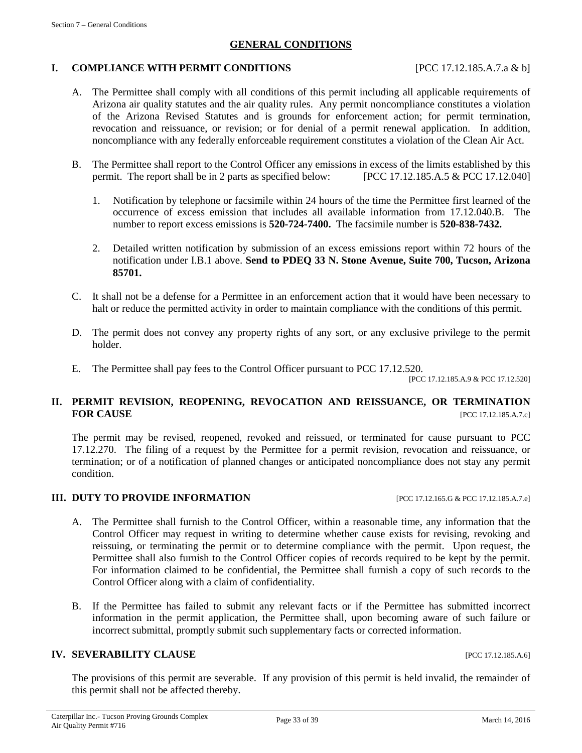#### **GENERAL CONDITIONS**

#### <span id="page-32-0"></span>**I. COMPLIANCE WITH PERMIT CONDITIONS** [PCC 17.12.185.A.7.a & b]

- A. The Permittee shall comply with all conditions of this permit including all applicable requirements of Arizona air quality statutes and the air quality rules. Any permit noncompliance constitutes a violation of the Arizona Revised Statutes and is grounds for enforcement action; for permit termination, revocation and reissuance, or revision; or for denial of a permit renewal application. In addition, noncompliance with any federally enforceable requirement constitutes a violation of the Clean Air Act.
- B. The Permittee shall report to the Control Officer any emissions in excess of the limits established by this permit. The report shall be in 2 parts as specified below: [PCC 17.12.185.A.5 & PCC 17.12.040]
	- 1. Notification by telephone or facsimile within 24 hours of the time the Permittee first learned of the occurrence of excess emission that includes all available information from 17.12.040.B. The number to report excess emissions is **520-724-7400.** The facsimile number is **520-838-7432.**
	- 2. Detailed written notification by submission of an excess emissions report within 72 hours of the notification under I.B.1 above. **Send to PDEQ 33 N. Stone Avenue, Suite 700, Tucson, Arizona 85701.**
- C. It shall not be a defense for a Permittee in an enforcement action that it would have been necessary to halt or reduce the permitted activity in order to maintain compliance with the conditions of this permit.
- D. The permit does not convey any property rights of any sort, or any exclusive privilege to the permit holder.
- E. The Permittee shall pay fees to the Control Officer pursuant to PCC 17.12.520.

[PCC 17.12.185.A.9 & PCC 17.12.520]

# **II. PERMIT REVISION, REOPENING, REVOCATION AND REISSUANCE, OR TERMINATION FOR CAUSE [PCC 17.12.185.A.7.c]**

The permit may be revised, reopened, revoked and reissued, or terminated for cause pursuant to PCC 17.12.270. The filing of a request by the Permittee for a permit revision, revocation and reissuance, or termination; or of a notification of planned changes or anticipated noncompliance does not stay any permit condition.

#### **III. DUTY TO PROVIDE INFORMATION** [PCC 17.12.165.G & PCC 17.12.185.A.7.e]

- A. The Permittee shall furnish to the Control Officer, within a reasonable time, any information that the Control Officer may request in writing to determine whether cause exists for revising, revoking and reissuing, or terminating the permit or to determine compliance with the permit. Upon request, the Permittee shall also furnish to the Control Officer copies of records required to be kept by the permit. For information claimed to be confidential, the Permittee shall furnish a copy of such records to the Control Officer along with a claim of confidentiality.
- B. If the Permittee has failed to submit any relevant facts or if the Permittee has submitted incorrect information in the permit application, the Permittee shall, upon becoming aware of such failure or incorrect submittal, promptly submit such supplementary facts or corrected information.

# **IV. SEVERABILITY CLAUSE INCLUSE INCLUSE INCLUSE INCLUSION**

The provisions of this permit are severable. If any provision of this permit is held invalid, the remainder of this permit shall not be affected thereby.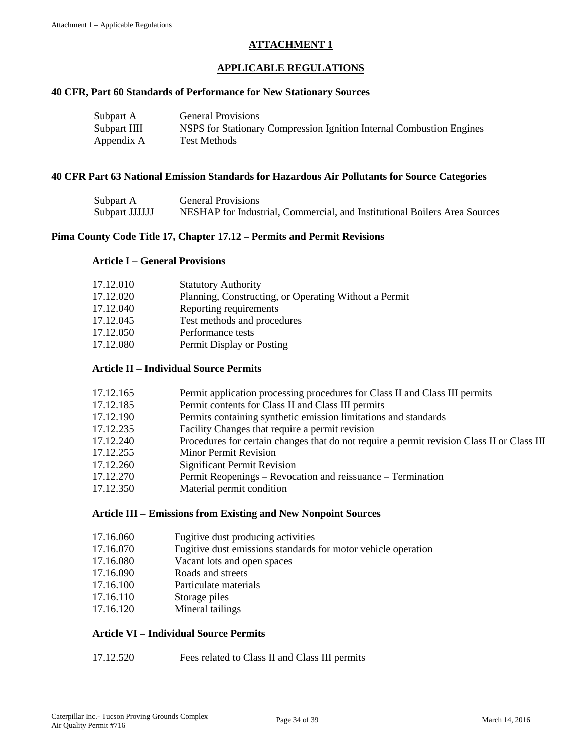# **ATTACHMENT 1**

# **APPLICABLE REGULATIONS**

#### <span id="page-33-0"></span>**40 CFR, Part 60 Standards of Performance for New Stationary Sources**

| Subpart A    | <b>General Provisions</b>                                            |
|--------------|----------------------------------------------------------------------|
| Subpart IIII | NSPS for Stationary Compression Ignition Internal Combustion Engines |
| Appendix A   | <b>Test Methods</b>                                                  |

#### **40 CFR Part 63 National Emission Standards for Hazardous Air Pollutants for Source Categories**

| Subpart A      | <b>General Provisions</b>                                                 |
|----------------|---------------------------------------------------------------------------|
| Subpart JJJJJJ | NESHAP for Industrial, Commercial, and Institutional Boilers Area Sources |

#### **Pima County Code Title 17, Chapter 17.12 – Permits and Permit Revisions**

#### **Article I – General Provisions**

| 17.12.010 | <b>Statutory Authority</b>                            |
|-----------|-------------------------------------------------------|
| 17.12.020 | Planning, Constructing, or Operating Without a Permit |
| 17.12.040 | Reporting requirements                                |
| 17.12.045 | Test methods and procedures                           |
| 17.12.050 | Performance tests                                     |
| 17.12.080 | Permit Display or Posting                             |

### **Article II – Individual Source Permits**

| 17.12.165 | Permit application processing procedures for Class II and Class III permits                |
|-----------|--------------------------------------------------------------------------------------------|
| 17.12.185 | Permit contents for Class II and Class III permits                                         |
| 17.12.190 | Permits containing synthetic emission limitations and standards                            |
| 17.12.235 | Facility Changes that require a permit revision                                            |
| 17.12.240 | Procedures for certain changes that do not require a permit revision Class II or Class III |
| 17.12.255 | <b>Minor Permit Revision</b>                                                               |
| 17.12.260 | <b>Significant Permit Revision</b>                                                         |
| 17.12.270 | Permit Reopenings – Revocation and reissuance – Termination                                |
| 17.12.350 | Material permit condition                                                                  |

#### **Article III – Emissions from Existing and New Nonpoint Sources**

- 17.16.060 Fugitive dust producing activities
- 17.16.070 Fugitive dust emissions standards for motor vehicle operation
- 17.16.080 Vacant lots and open spaces
- 17.16.090 Roads and streets
- 17.16.100 Particulate materials
- 17.16.110 Storage piles
- 17.16.120 Mineral tailings

#### **Article VI – Individual Source Permits**

17.12.520 Fees related to Class II and Class III permits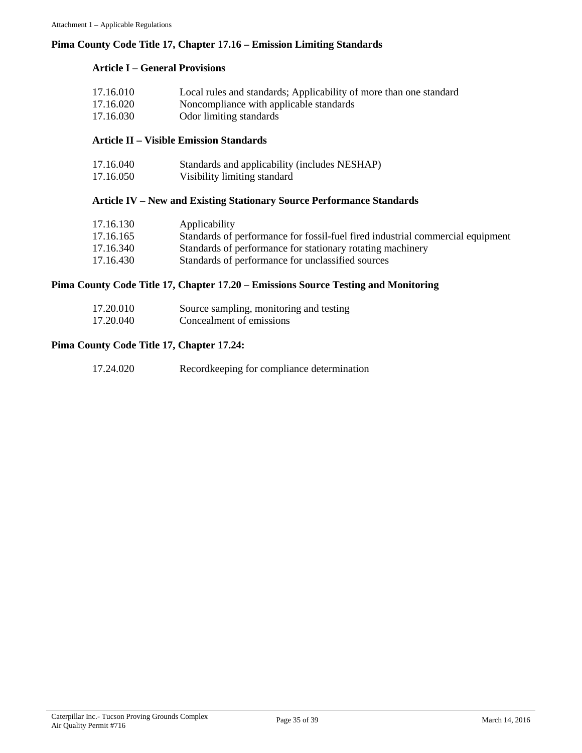## **Pima County Code Title 17, Chapter 17.16 – Emission Limiting Standards**

# **Article I – General Provisions**

| 17.16.010 | Local rules and standards; Applicability of more than one standard |
|-----------|--------------------------------------------------------------------|
| 17.16.020 | Noncompliance with applicable standards                            |
| 17.16.030 | Odor limiting standards                                            |

#### **Article II – Visible Emission Standards**

| 17.16.040 | Standards and applicability (includes NESHAP) |
|-----------|-----------------------------------------------|
| 17.16.050 | Visibility limiting standard                  |

# **Article IV – New and Existing Stationary Source Performance Standards**

| 17.16.130 | Applicability                                                                  |
|-----------|--------------------------------------------------------------------------------|
| 17.16.165 | Standards of performance for fossil-fuel fired industrial commercial equipment |
| 17.16.340 | Standards of performance for stationary rotating machinery                     |
| 17.16.430 | Standards of performance for unclassified sources                              |

#### **Pima County Code Title 17, Chapter 17.20 – Emissions Source Testing and Monitoring**

| 17.20.010 | Source sampling, monitoring and testing |
|-----------|-----------------------------------------|
| 17.20.040 | Concealment of emissions                |

# **Pima County Code Title 17, Chapter 17.24:**

| 17.24.020 | Recordkeeping for compliance determination |
|-----------|--------------------------------------------|
|-----------|--------------------------------------------|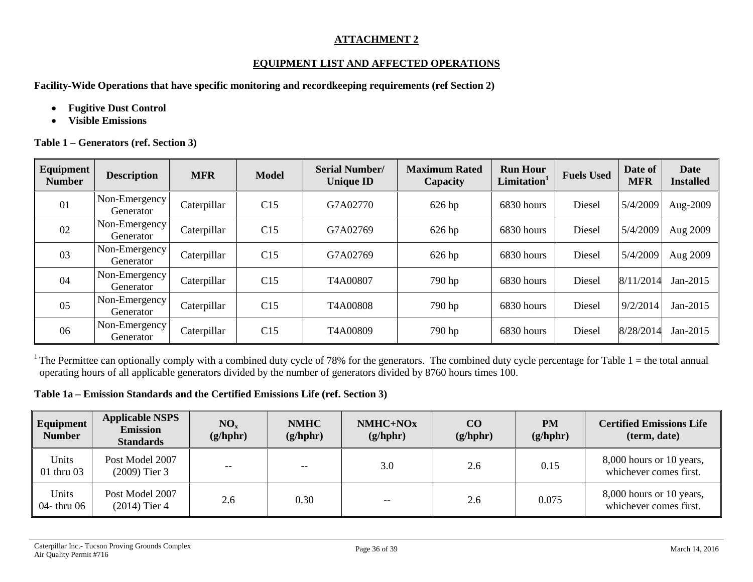# **ATTACHMENT 2**

# **EQUIPMENT LIST AND AFFECTED OPERATIONS**

**Facility-Wide Operations that have specific monitoring and recordkeeping requirements (ref Section 2)**

- **Fugitive Dust Control**
- **Visible Emissions**

**Table 1 – Generators (ref. Section 3)**

<span id="page-35-0"></span>

| Equipment<br><b>Number</b> | <b>Description</b>         | <b>MFR</b>  | <b>Model</b> | <b>Serial Number/</b><br><b>Unique ID</b> | <b>Maximum Rated</b><br>Capacity | <b>Run Hour</b><br>Limitation <sup>1</sup> | <b>Fuels Used</b> | Date of<br><b>MFR</b> | Date<br><b>Installed</b> |
|----------------------------|----------------------------|-------------|--------------|-------------------------------------------|----------------------------------|--------------------------------------------|-------------------|-----------------------|--------------------------|
| 01                         | Non-Emergency<br>Generator | Caterpillar | C15          | G7A02770                                  | $626$ hp                         | 6830 hours                                 | Diesel            | 5/4/2009              | Aug-2009                 |
| 02                         | Non-Emergency<br>Generator | Caterpillar | C15          | G7A02769                                  | 626 hp                           | 6830 hours                                 | Diesel            | 5/4/2009              | Aug 2009                 |
| 03                         | Non-Emergency<br>Generator | Caterpillar | C15          | G7A02769                                  | $626$ hp                         | 6830 hours                                 | Diesel            | 5/4/2009              | Aug 2009                 |
| 04                         | Non-Emergency<br>Generator | Caterpillar | C15          | T4A00807                                  | 790 hp                           | 6830 hours                                 | Diesel            | 8/11/2014             | Jan-2015                 |
| 05                         | Non-Emergency<br>Generator | Caterpillar | C15          | T4A00808                                  | 790 hp                           | 6830 hours                                 | Diesel            | 9/2/2014              | Jan-2015                 |
| 06                         | Non-Emergency<br>Generator | Caterpillar | C15          | T4A00809                                  | 790 hp                           | 6830 hours                                 | Diesel            | 8/28/2014             | Jan-2015                 |

<sup>1</sup> The Permittee can optionally comply with a combined duty cycle of 78% for the generators. The combined duty cycle percentage for Table  $1 =$  the total annual operating hours of all applicable generators divided by the number of generators divided by 8760 hours times 100.

#### **Table 1a – Emission Standards and the Certified Emissions Life (ref. Section 3)**

| Equipment<br><b>Number</b> | <b>Applicable NSPS</b><br><b>Emission</b><br><b>Standards</b> | NO <sub>x</sub><br>(g/hphr) | <b>NMHC</b><br>(g/hphr) | NMHC+NOx<br>(g/hphr) | $\bf CO$<br>(g/hphr) | <b>PM</b><br>(g/hphr) | <b>Certified Emissions Life</b><br>(term, date)    |
|----------------------------|---------------------------------------------------------------|-----------------------------|-------------------------|----------------------|----------------------|-----------------------|----------------------------------------------------|
| Units<br>$01$ thru $03$    | Post Model 2007<br>$(2009)$ Tier 3                            | $- -$                       | $- -$                   | 3.0                  | 2.6                  | 0.15                  | 8,000 hours or 10 years,<br>whichever comes first. |
| Units<br>04- thru 06       | Post Model 2007<br>$(2014)$ Tier 4                            | 2.6                         | 0.30                    | $- -$                | 2.6                  | 0.075                 | 8,000 hours or 10 years,<br>whichever comes first. |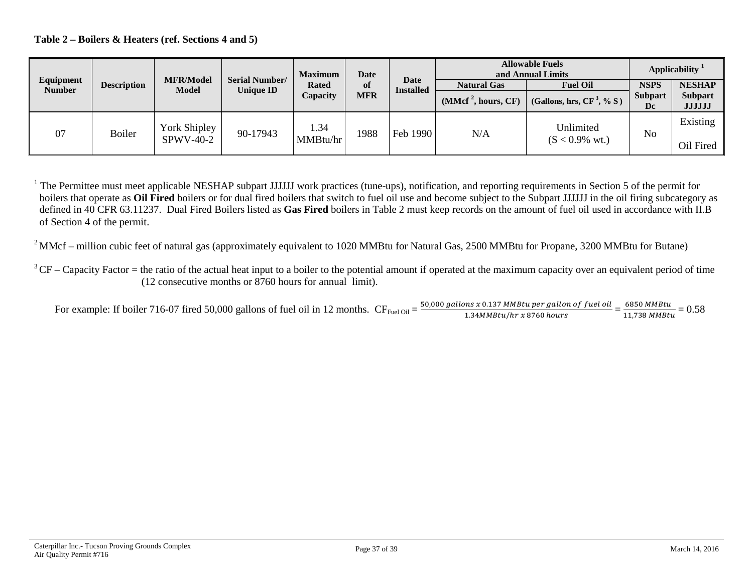#### **Table 2 – Boilers & Heaters (ref. Sections 4 and 5)**

|                            |                    |                                  |                                           | <b>Maximum</b> | Date       |                          | <b>Allowable Fuels</b><br>and Annual Limits |                              | Applicability        |                                 |
|----------------------------|--------------------|----------------------------------|-------------------------------------------|----------------|------------|--------------------------|---------------------------------------------|------------------------------|----------------------|---------------------------------|
| Equipment<br><b>Number</b> | <b>Description</b> | <b>MFR/Model</b><br><b>Model</b> | <b>Serial Number/</b><br><b>Unique ID</b> | <b>Rated</b>   | of         | Date<br><b>Installed</b> | <b>Natural Gas</b>                          | <b>Fuel Oil</b>              | <b>NSPS</b>          | <b>NESHAP</b>                   |
|                            |                    |                                  |                                           | Capacity       | <b>MFR</b> |                          | (MMcf <sup>2</sup> , hours, CF)             | (Gallons, hrs, $CF^3$ , % S) | <b>Subpart</b><br>Dc | <b>Subpart</b><br><b>JJJJJJ</b> |
| 07                         | Boiler             | York Shipley                     | 90-17943                                  | 1.34           | 1988       | Feb 1990                 | N/A                                         | Unlimited                    | No                   | Existing                        |
|                            |                    | <b>SPWV-40-2</b>                 |                                           | MMBtu/hr       |            |                          |                                             | $(S < 0.9\%$ wt.)            |                      | Oil Fired                       |

<sup>1</sup> The Permittee must meet applicable NESHAP subpart JJJJJJ work practices (tune-ups), notification, and reporting requirements in Section 5 of the permit for boilers that operate as **Oil Fired** boilers or for dual fired boilers that switch to fuel oil use and become subject to the Subpart JJJJJJ in the oil firing subcategory as defined in 40 CFR 63.11237. Dual Fired Boilers listed as **Gas Fired** boilers in Table 2 must keep records on the amount of fuel oil used in accordance with II.B of Section 4 of the permit.

 $2$  MMcf – million cubic feet of natural gas (approximately equivalent to 1020 MMBtu for Natural Gas, 2500 MMBtu for Propane, 3200 MMBtu for Butane)

For example: If boiler 716-07 fired 50,000 gallons of fuel oil in 12 months.  $CF_{\text{Eucl Oil}} = \frac{50,000 \text{ gallons} \times 0.137 \text{ M} \cdot \text{m} \cdot \text{m} \cdot \text{m}}{1.34 \text{ M} \cdot \text{m} \cdot \text{m} \cdot \text{m} \cdot \text{m} \cdot \text{m}} = \frac{6850 \text{ M} \cdot \text{m} \cdot \text{m} \cdot \text{m} \cdot \text{m$ 

 $3$ CF – Capacity Factor = the ratio of the actual heat input to a boiler to the potential amount if operated at the maximum capacity over an equivalent period of time (12 consecutive months or 8760 hours for annual limit).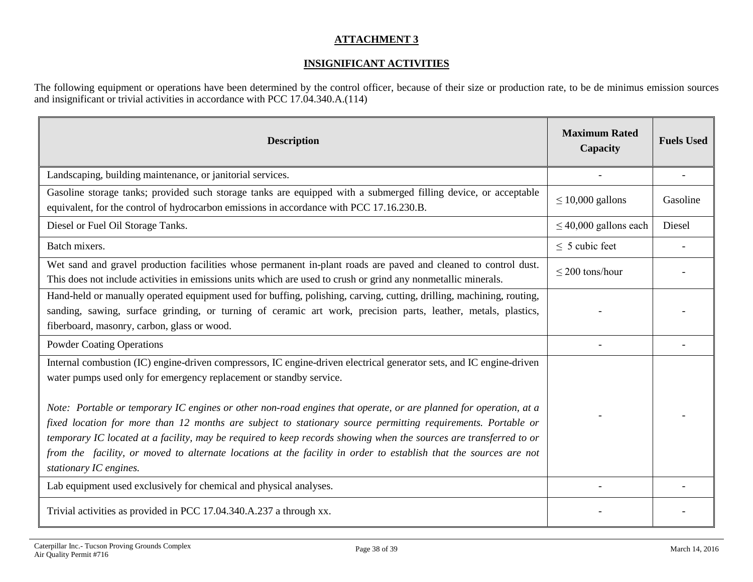# **ATTACHMENT 3**

# **INSIGNIFICANT ACTIVITIES**

The following equipment or operations have been determined by the control officer, because of their size or production rate, to be de minimus emission sources and insignificant or trivial activities in accordance with PCC 17.04.340.A.(114)

<span id="page-37-0"></span>

| <b>Description</b>                                                                                                                                                                                                                                                                                                                                                                                                                                                                                                                                                                                                                                                                                    | <b>Maximum Rated</b><br>Capacity | <b>Fuels Used</b> |
|-------------------------------------------------------------------------------------------------------------------------------------------------------------------------------------------------------------------------------------------------------------------------------------------------------------------------------------------------------------------------------------------------------------------------------------------------------------------------------------------------------------------------------------------------------------------------------------------------------------------------------------------------------------------------------------------------------|----------------------------------|-------------------|
| Landscaping, building maintenance, or janitorial services.                                                                                                                                                                                                                                                                                                                                                                                                                                                                                                                                                                                                                                            |                                  |                   |
| Gasoline storage tanks; provided such storage tanks are equipped with a submerged filling device, or acceptable<br>equivalent, for the control of hydrocarbon emissions in accordance with PCC 17.16.230.B.                                                                                                                                                                                                                                                                                                                                                                                                                                                                                           | $\leq 10,000$ gallons            | Gasoline          |
| Diesel or Fuel Oil Storage Tanks.                                                                                                                                                                                                                                                                                                                                                                                                                                                                                                                                                                                                                                                                     | $\leq$ 40,000 gallons each       | Diesel            |
| Batch mixers.                                                                                                                                                                                                                                                                                                                                                                                                                                                                                                                                                                                                                                                                                         | $\leq$ 5 cubic feet              |                   |
| Wet sand and gravel production facilities whose permanent in-plant roads are paved and cleaned to control dust.<br>This does not include activities in emissions units which are used to crush or grind any nonmetallic minerals.                                                                                                                                                                                                                                                                                                                                                                                                                                                                     | $\leq$ 200 tons/hour             |                   |
| Hand-held or manually operated equipment used for buffing, polishing, carving, cutting, drilling, machining, routing,<br>sanding, sawing, surface grinding, or turning of ceramic art work, precision parts, leather, metals, plastics,<br>fiberboard, masonry, carbon, glass or wood.                                                                                                                                                                                                                                                                                                                                                                                                                |                                  |                   |
| <b>Powder Coating Operations</b>                                                                                                                                                                                                                                                                                                                                                                                                                                                                                                                                                                                                                                                                      |                                  |                   |
| Internal combustion (IC) engine-driven compressors, IC engine-driven electrical generator sets, and IC engine-driven<br>water pumps used only for emergency replacement or standby service.<br>Note: Portable or temporary IC engines or other non-road engines that operate, or are planned for operation, at a<br>fixed location for more than 12 months are subject to stationary source permitting requirements. Portable or<br>temporary IC located at a facility, may be required to keep records showing when the sources are transferred to or<br>from the facility, or moved to alternate locations at the facility in order to establish that the sources are not<br>stationary IC engines. |                                  |                   |
| Lab equipment used exclusively for chemical and physical analyses.                                                                                                                                                                                                                                                                                                                                                                                                                                                                                                                                                                                                                                    |                                  |                   |
| Trivial activities as provided in PCC 17.04.340.A.237 a through xx.                                                                                                                                                                                                                                                                                                                                                                                                                                                                                                                                                                                                                                   |                                  |                   |